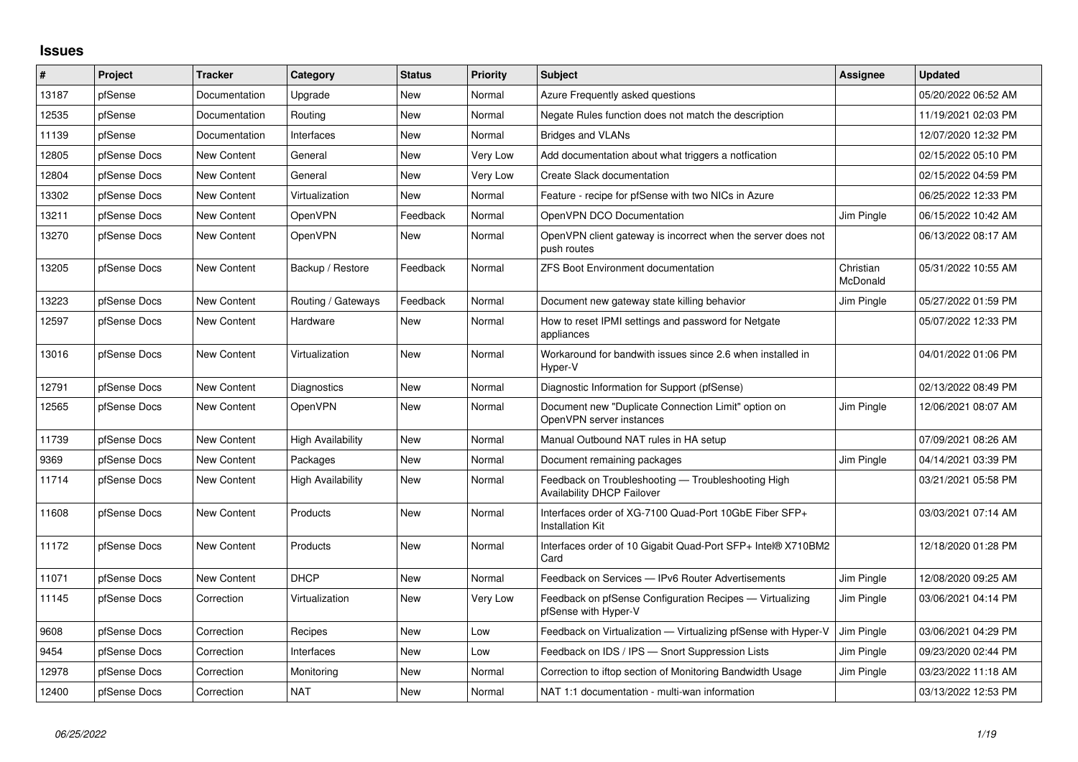## **Issues**

| #     | Project      | <b>Tracker</b>     | Category                 | <b>Status</b> | <b>Priority</b> | <b>Subject</b>                                                                          | Assignee              | <b>Updated</b>      |
|-------|--------------|--------------------|--------------------------|---------------|-----------------|-----------------------------------------------------------------------------------------|-----------------------|---------------------|
| 13187 | pfSense      | Documentation      | Upgrade                  | New           | Normal          | Azure Frequently asked questions                                                        |                       | 05/20/2022 06:52 AM |
| 12535 | pfSense      | Documentation      | Routing                  | <b>New</b>    | Normal          | Negate Rules function does not match the description                                    |                       | 11/19/2021 02:03 PM |
| 11139 | pfSense      | Documentation      | Interfaces               | <b>New</b>    | Normal          | <b>Bridges and VLANs</b>                                                                |                       | 12/07/2020 12:32 PM |
| 12805 | pfSense Docs | New Content        | General                  | <b>New</b>    | Very Low        | Add documentation about what triggers a notfication                                     |                       | 02/15/2022 05:10 PM |
| 12804 | pfSense Docs | New Content        | General                  | New           | Very Low        | Create Slack documentation                                                              |                       | 02/15/2022 04:59 PM |
| 13302 | pfSense Docs | New Content        | Virtualization           | New           | Normal          | Feature - recipe for pfSense with two NICs in Azure                                     |                       | 06/25/2022 12:33 PM |
| 13211 | pfSense Docs | New Content        | OpenVPN                  | Feedback      | Normal          | OpenVPN DCO Documentation                                                               | Jim Pingle            | 06/15/2022 10:42 AM |
| 13270 | pfSense Docs | New Content        | <b>OpenVPN</b>           | New           | Normal          | OpenVPN client gateway is incorrect when the server does not<br>push routes             |                       | 06/13/2022 08:17 AM |
| 13205 | pfSense Docs | New Content        | Backup / Restore         | Feedback      | Normal          | <b>ZFS Boot Environment documentation</b>                                               | Christian<br>McDonald | 05/31/2022 10:55 AM |
| 13223 | pfSense Docs | New Content        | Routing / Gateways       | Feedback      | Normal          | Document new gateway state killing behavior                                             | Jim Pingle            | 05/27/2022 01:59 PM |
| 12597 | pfSense Docs | New Content        | Hardware                 | New           | Normal          | How to reset IPMI settings and password for Netgate<br>appliances                       |                       | 05/07/2022 12:33 PM |
| 13016 | pfSense Docs | New Content        | Virtualization           | <b>New</b>    | Normal          | Workaround for bandwith issues since 2.6 when installed in<br>Hyper-V                   |                       | 04/01/2022 01:06 PM |
| 12791 | pfSense Docs | <b>New Content</b> | Diagnostics              | <b>New</b>    | Normal          | Diagnostic Information for Support (pfSense)                                            |                       | 02/13/2022 08:49 PM |
| 12565 | pfSense Docs | New Content        | <b>OpenVPN</b>           | <b>New</b>    | Normal          | Document new "Duplicate Connection Limit" option on<br>OpenVPN server instances         | Jim Pingle            | 12/06/2021 08:07 AM |
| 11739 | pfSense Docs | New Content        | <b>High Availability</b> | <b>New</b>    | Normal          | Manual Outbound NAT rules in HA setup                                                   |                       | 07/09/2021 08:26 AM |
| 9369  | pfSense Docs | New Content        | Packages                 | <b>New</b>    | Normal          | Document remaining packages                                                             | Jim Pingle            | 04/14/2021 03:39 PM |
| 11714 | pfSense Docs | New Content        | <b>High Availability</b> | New           | Normal          | Feedback on Troubleshooting - Troubleshooting High<br><b>Availability DHCP Failover</b> |                       | 03/21/2021 05:58 PM |
| 11608 | pfSense Docs | New Content        | Products                 | New           | Normal          | Interfaces order of XG-7100 Quad-Port 10GbE Fiber SFP+<br><b>Installation Kit</b>       |                       | 03/03/2021 07:14 AM |
| 11172 | pfSense Docs | New Content        | Products                 | <b>New</b>    | Normal          | Interfaces order of 10 Gigabit Quad-Port SFP+ Intel® X710BM2<br>Card                    |                       | 12/18/2020 01:28 PM |
| 11071 | pfSense Docs | New Content        | <b>DHCP</b>              | <b>New</b>    | Normal          | Feedback on Services - IPv6 Router Advertisements                                       | Jim Pingle            | 12/08/2020 09:25 AM |
| 11145 | pfSense Docs | Correction         | Virtualization           | New           | Very Low        | Feedback on pfSense Configuration Recipes - Virtualizing<br>pfSense with Hyper-V        | Jim Pingle            | 03/06/2021 04:14 PM |
| 9608  | pfSense Docs | Correction         | Recipes                  | New           | Low             | Feedback on Virtualization — Virtualizing pfSense with Hyper-V                          | Jim Pingle            | 03/06/2021 04:29 PM |
| 9454  | pfSense Docs | Correction         | Interfaces               | New           | Low             | Feedback on IDS / IPS - Snort Suppression Lists                                         | Jim Pingle            | 09/23/2020 02:44 PM |
| 12978 | pfSense Docs | Correction         | Monitoring               | New           | Normal          | Correction to iftop section of Monitoring Bandwidth Usage                               | Jim Pingle            | 03/23/2022 11:18 AM |
| 12400 | pfSense Docs | Correction         | <b>NAT</b>               | New           | Normal          | NAT 1:1 documentation - multi-wan information                                           |                       | 03/13/2022 12:53 PM |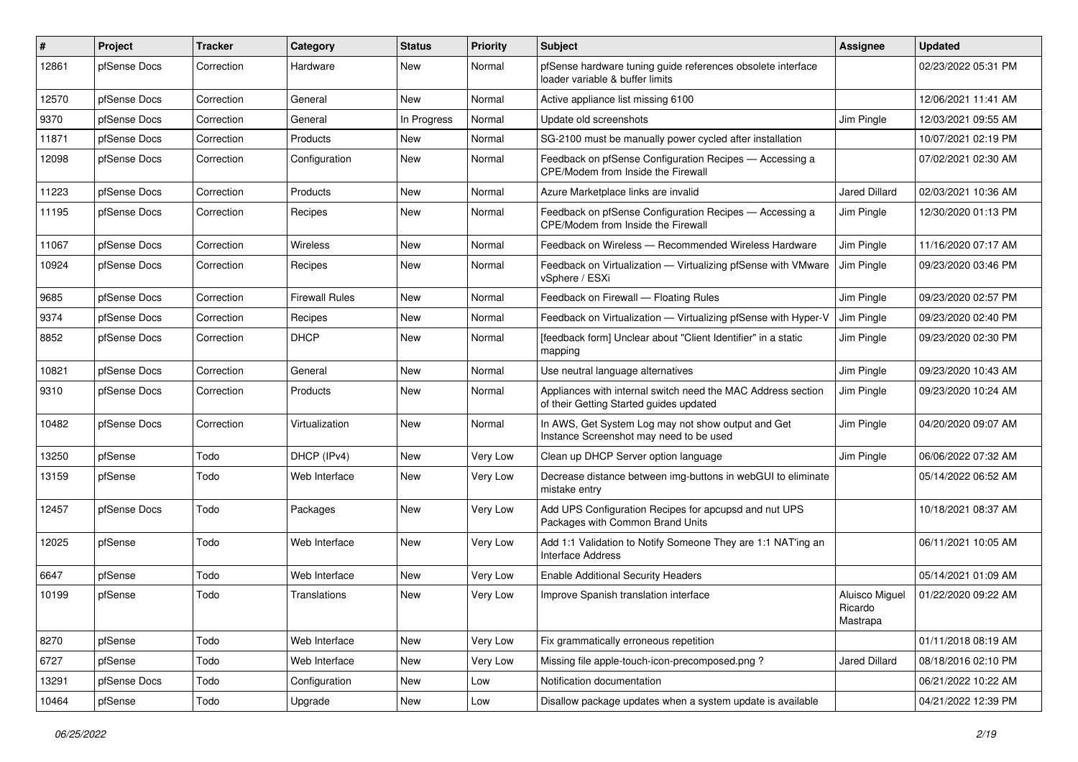| #     | Project      | <b>Tracker</b> | Category              | <b>Status</b> | <b>Priority</b> | Subject                                                                                                 | <b>Assignee</b>                       | <b>Updated</b>      |
|-------|--------------|----------------|-----------------------|---------------|-----------------|---------------------------------------------------------------------------------------------------------|---------------------------------------|---------------------|
| 12861 | pfSense Docs | Correction     | Hardware              | New           | Normal          | pfSense hardware tuning guide references obsolete interface<br>loader variable & buffer limits          |                                       | 02/23/2022 05:31 PM |
| 12570 | pfSense Docs | Correction     | General               | <b>New</b>    | Normal          | Active appliance list missing 6100                                                                      |                                       | 12/06/2021 11:41 AM |
| 9370  | pfSense Docs | Correction     | General               | In Progress   | Normal          | Update old screenshots                                                                                  | Jim Pingle                            | 12/03/2021 09:55 AM |
| 11871 | pfSense Docs | Correction     | Products              | New           | Normal          | SG-2100 must be manually power cycled after installation                                                |                                       | 10/07/2021 02:19 PM |
| 12098 | pfSense Docs | Correction     | Configuration         | New           | Normal          | Feedback on pfSense Configuration Recipes - Accessing a<br>CPE/Modem from Inside the Firewall           |                                       | 07/02/2021 02:30 AM |
| 11223 | pfSense Docs | Correction     | Products              | New           | Normal          | Azure Marketplace links are invalid                                                                     | <b>Jared Dillard</b>                  | 02/03/2021 10:36 AM |
| 11195 | pfSense Docs | Correction     | Recipes               | New           | Normal          | Feedback on pfSense Configuration Recipes - Accessing a<br>CPE/Modem from Inside the Firewall           | Jim Pingle                            | 12/30/2020 01:13 PM |
| 11067 | pfSense Docs | Correction     | Wireless              | New           | Normal          | Feedback on Wireless - Recommended Wireless Hardware                                                    | Jim Pingle                            | 11/16/2020 07:17 AM |
| 10924 | pfSense Docs | Correction     | Recipes               | New           | Normal          | Feedback on Virtualization - Virtualizing pfSense with VMware<br>vSphere / ESXi                         | Jim Pingle                            | 09/23/2020 03:46 PM |
| 9685  | pfSense Docs | Correction     | <b>Firewall Rules</b> | <b>New</b>    | Normal          | Feedback on Firewall - Floating Rules                                                                   | Jim Pingle                            | 09/23/2020 02:57 PM |
| 9374  | pfSense Docs | Correction     | Recipes               | New           | Normal          | Feedback on Virtualization - Virtualizing pfSense with Hyper-V                                          | Jim Pingle                            | 09/23/2020 02:40 PM |
| 8852  | pfSense Docs | Correction     | <b>DHCP</b>           | New           | Normal          | [feedback form] Unclear about "Client Identifier" in a static<br>mapping                                | Jim Pingle                            | 09/23/2020 02:30 PM |
| 10821 | pfSense Docs | Correction     | General               | New           | Normal          | Use neutral language alternatives                                                                       | Jim Pingle                            | 09/23/2020 10:43 AM |
| 9310  | pfSense Docs | Correction     | Products              | New           | Normal          | Appliances with internal switch need the MAC Address section<br>of their Getting Started guides updated | Jim Pingle                            | 09/23/2020 10:24 AM |
| 10482 | pfSense Docs | Correction     | Virtualization        | New           | Normal          | In AWS, Get System Log may not show output and Get<br>Instance Screenshot may need to be used           | Jim Pingle                            | 04/20/2020 09:07 AM |
| 13250 | pfSense      | Todo           | DHCP (IPv4)           | New           | Very Low        | Clean up DHCP Server option language                                                                    | Jim Pingle                            | 06/06/2022 07:32 AM |
| 13159 | pfSense      | Todo           | Web Interface         | <b>New</b>    | Very Low        | Decrease distance between img-buttons in webGUI to eliminate<br>mistake entry                           |                                       | 05/14/2022 06:52 AM |
| 12457 | pfSense Docs | Todo           | Packages              | New           | Very Low        | Add UPS Configuration Recipes for apcupsd and nut UPS<br>Packages with Common Brand Units               |                                       | 10/18/2021 08:37 AM |
| 12025 | pfSense      | Todo           | Web Interface         | New           | Very Low        | Add 1:1 Validation to Notify Someone They are 1:1 NAT'ing an<br><b>Interface Address</b>                |                                       | 06/11/2021 10:05 AM |
| 6647  | pfSense      | Todo           | Web Interface         | New           | Very Low        | <b>Enable Additional Security Headers</b>                                                               |                                       | 05/14/2021 01:09 AM |
| 10199 | pfSense      | Todo           | Translations          | New           | Very Low        | Improve Spanish translation interface                                                                   | Aluisco Miguel<br>Ricardo<br>Mastrapa | 01/22/2020 09:22 AM |
| 8270  | pfSense      | Todo           | Web Interface         | New           | Very Low        | Fix grammatically erroneous repetition                                                                  |                                       | 01/11/2018 08:19 AM |
| 6727  | pfSense      | Todo           | Web Interface         | New           | Very Low        | Missing file apple-touch-icon-precomposed.png?                                                          | Jared Dillard                         | 08/18/2016 02:10 PM |
| 13291 | pfSense Docs | Todo           | Configuration         | New           | Low             | Notification documentation                                                                              |                                       | 06/21/2022 10:22 AM |
| 10464 | pfSense      | Todo           | Upgrade               | New           | Low             | Disallow package updates when a system update is available                                              |                                       | 04/21/2022 12:39 PM |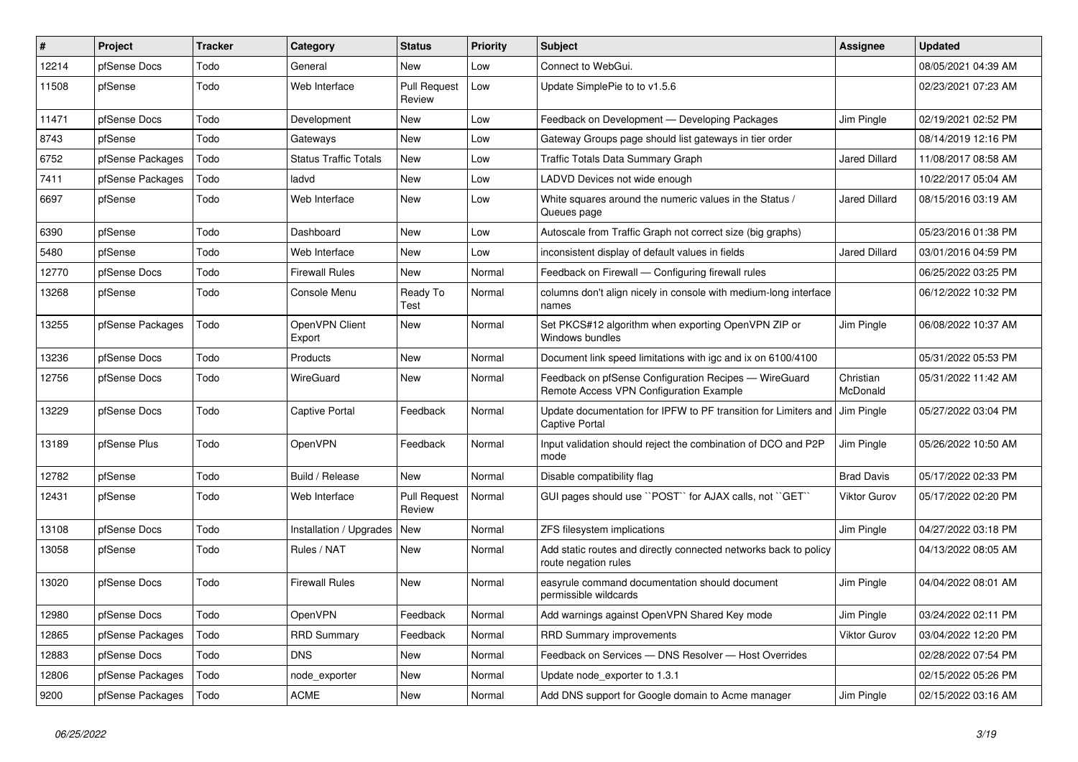| $\sharp$ | Project          | <b>Tracker</b> | Category                     | <b>Status</b>                 | <b>Priority</b> | <b>Subject</b>                                                                                   | <b>Assignee</b>       | <b>Updated</b>      |
|----------|------------------|----------------|------------------------------|-------------------------------|-----------------|--------------------------------------------------------------------------------------------------|-----------------------|---------------------|
| 12214    | pfSense Docs     | Todo           | General                      | <b>New</b>                    | Low             | Connect to WebGui.                                                                               |                       | 08/05/2021 04:39 AM |
| 11508    | pfSense          | Todo           | Web Interface                | <b>Pull Request</b><br>Review | Low             | Update SimplePie to to v1.5.6                                                                    |                       | 02/23/2021 07:23 AM |
| 11471    | pfSense Docs     | Todo           | Development                  | New                           | Low             | Feedback on Development - Developing Packages                                                    | Jim Pingle            | 02/19/2021 02:52 PM |
| 8743     | pfSense          | Todo           | Gateways                     | <b>New</b>                    | Low             | Gateway Groups page should list gateways in tier order                                           |                       | 08/14/2019 12:16 PM |
| 6752     | pfSense Packages | Todo           | <b>Status Traffic Totals</b> | New                           | Low             | Traffic Totals Data Summary Graph                                                                | Jared Dillard         | 11/08/2017 08:58 AM |
| 7411     | pfSense Packages | Todo           | ladvd                        | New                           | Low             | LADVD Devices not wide enough                                                                    |                       | 10/22/2017 05:04 AM |
| 6697     | pfSense          | Todo           | Web Interface                | New                           | Low             | White squares around the numeric values in the Status /<br>Queues page                           | Jared Dillard         | 08/15/2016 03:19 AM |
| 6390     | pfSense          | Todo           | Dashboard                    | New                           | Low             | Autoscale from Traffic Graph not correct size (big graphs)                                       |                       | 05/23/2016 01:38 PM |
| 5480     | pfSense          | Todo           | Web Interface                | <b>New</b>                    | Low             | inconsistent display of default values in fields                                                 | <b>Jared Dillard</b>  | 03/01/2016 04:59 PM |
| 12770    | pfSense Docs     | Todo           | <b>Firewall Rules</b>        | <b>New</b>                    | Normal          | Feedback on Firewall - Configuring firewall rules                                                |                       | 06/25/2022 03:25 PM |
| 13268    | pfSense          | Todo           | Console Menu                 | Ready To<br>Test              | Normal          | columns don't align nicely in console with medium-long interface<br>names                        |                       | 06/12/2022 10:32 PM |
| 13255    | pfSense Packages | Todo           | OpenVPN Client<br>Export     | New                           | Normal          | Set PKCS#12 algorithm when exporting OpenVPN ZIP or<br>Windows bundles                           | Jim Pingle            | 06/08/2022 10:37 AM |
| 13236    | pfSense Docs     | Todo           | Products                     | New                           | Normal          | Document link speed limitations with igc and ix on 6100/4100                                     |                       | 05/31/2022 05:53 PM |
| 12756    | pfSense Docs     | Todo           | <b>WireGuard</b>             | New                           | Normal          | Feedback on pfSense Configuration Recipes - WireGuard<br>Remote Access VPN Configuration Example | Christian<br>McDonald | 05/31/2022 11:42 AM |
| 13229    | pfSense Docs     | Todo           | <b>Captive Portal</b>        | Feedback                      | Normal          | Update documentation for IPFW to PF transition for Limiters and<br>Captive Portal                | Jim Pingle            | 05/27/2022 03:04 PM |
| 13189    | pfSense Plus     | Todo           | OpenVPN                      | Feedback                      | Normal          | Input validation should reject the combination of DCO and P2P<br>mode                            | Jim Pingle            | 05/26/2022 10:50 AM |
| 12782    | pfSense          | Todo           | Build / Release              | <b>New</b>                    | Normal          | Disable compatibility flag                                                                       | <b>Brad Davis</b>     | 05/17/2022 02:33 PM |
| 12431    | pfSense          | Todo           | Web Interface                | <b>Pull Request</b><br>Review | Normal          | GUI pages should use "POST" for AJAX calls, not "GET"                                            | Viktor Gurov          | 05/17/2022 02:20 PM |
| 13108    | pfSense Docs     | Todo           | Installation / Upgrades      | New                           | Normal          | ZFS filesystem implications                                                                      | Jim Pingle            | 04/27/2022 03:18 PM |
| 13058    | pfSense          | Todo           | Rules / NAT                  | New                           | Normal          | Add static routes and directly connected networks back to policy<br>route negation rules         |                       | 04/13/2022 08:05 AM |
| 13020    | pfSense Docs     | Todo           | <b>Firewall Rules</b>        | New                           | Normal          | easyrule command documentation should document<br>permissible wildcards                          | Jim Pingle            | 04/04/2022 08:01 AM |
| 12980    | pfSense Docs     | Todo           | OpenVPN                      | Feedback                      | Normal          | Add warnings against OpenVPN Shared Key mode                                                     | Jim Pingle            | 03/24/2022 02:11 PM |
| 12865    | pfSense Packages | Todo           | <b>RRD Summary</b>           | Feedback                      | Normal          | <b>RRD Summary improvements</b>                                                                  | Viktor Gurov          | 03/04/2022 12:20 PM |
| 12883    | pfSense Docs     | Todo           | <b>DNS</b>                   | <b>New</b>                    | Normal          | Feedback on Services - DNS Resolver - Host Overrides                                             |                       | 02/28/2022 07:54 PM |
| 12806    | pfSense Packages | Todo           | node_exporter                | New                           | Normal          | Update node exporter to 1.3.1                                                                    |                       | 02/15/2022 05:26 PM |
| 9200     | pfSense Packages | Todo           | <b>ACME</b>                  | New                           | Normal          | Add DNS support for Google domain to Acme manager                                                | Jim Pingle            | 02/15/2022 03:16 AM |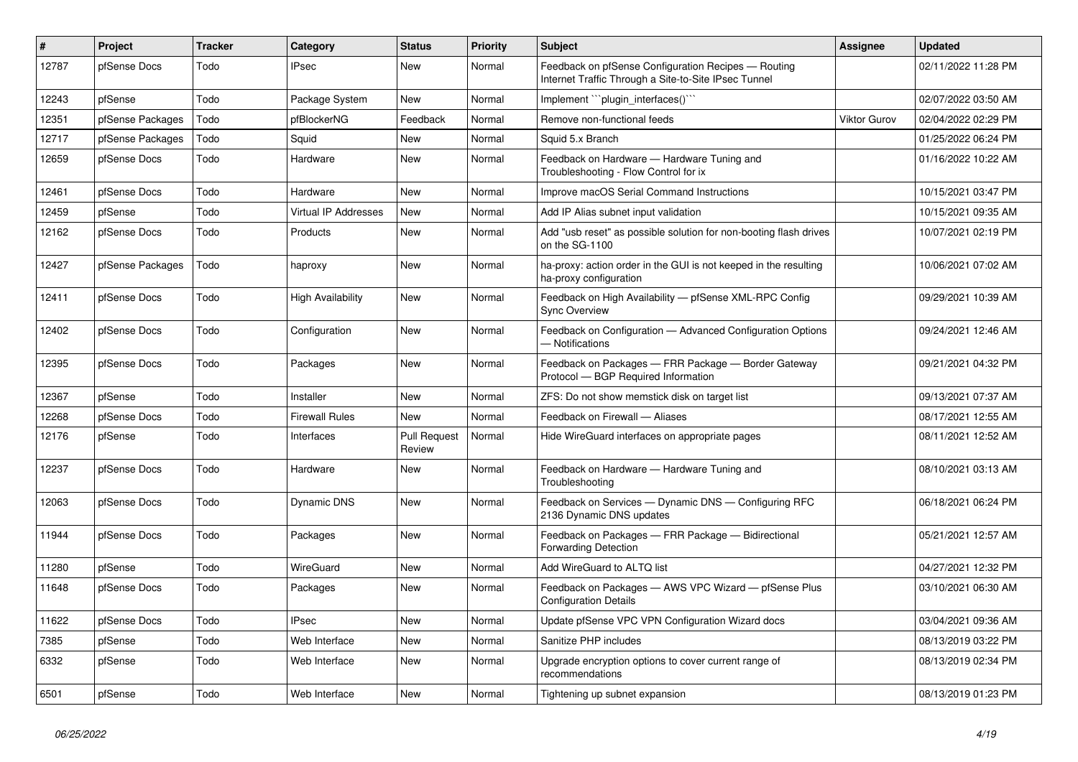| #     | Project          | <b>Tracker</b> | Category                    | <b>Status</b>                 | <b>Priority</b> | <b>Subject</b>                                                                                              | <b>Assignee</b>     | <b>Updated</b>      |
|-------|------------------|----------------|-----------------------------|-------------------------------|-----------------|-------------------------------------------------------------------------------------------------------------|---------------------|---------------------|
| 12787 | pfSense Docs     | Todo           | <b>IPsec</b>                | <b>New</b>                    | Normal          | Feedback on pfSense Configuration Recipes - Routing<br>Internet Traffic Through a Site-to-Site IPsec Tunnel |                     | 02/11/2022 11:28 PM |
| 12243 | pfSense          | Todo           | Package System              | <b>New</b>                    | Normal          | Implement "``plugin_interfaces()```                                                                         |                     | 02/07/2022 03:50 AM |
| 12351 | pfSense Packages | Todo           | pfBlockerNG                 | Feedback                      | Normal          | Remove non-functional feeds                                                                                 | <b>Viktor Gurov</b> | 02/04/2022 02:29 PM |
| 12717 | pfSense Packages | Todo           | Squid                       | New                           | Normal          | Squid 5.x Branch                                                                                            |                     | 01/25/2022 06:24 PM |
| 12659 | pfSense Docs     | Todo           | Hardware                    | New                           | Normal          | Feedback on Hardware - Hardware Tuning and<br>Troubleshooting - Flow Control for ix                         |                     | 01/16/2022 10:22 AM |
| 12461 | pfSense Docs     | Todo           | Hardware                    | New                           | Normal          | Improve macOS Serial Command Instructions                                                                   |                     | 10/15/2021 03:47 PM |
| 12459 | pfSense          | Todo           | <b>Virtual IP Addresses</b> | <b>New</b>                    | Normal          | Add IP Alias subnet input validation                                                                        |                     | 10/15/2021 09:35 AM |
| 12162 | pfSense Docs     | Todo           | Products                    | <b>New</b>                    | Normal          | Add "usb reset" as possible solution for non-booting flash drives<br>on the SG-1100                         |                     | 10/07/2021 02:19 PM |
| 12427 | pfSense Packages | Todo           | haproxy                     | New                           | Normal          | ha-proxy: action order in the GUI is not keeped in the resulting<br>ha-proxy configuration                  |                     | 10/06/2021 07:02 AM |
| 12411 | pfSense Docs     | Todo           | <b>High Availability</b>    | New                           | Normal          | Feedback on High Availability - pfSense XML-RPC Config<br><b>Sync Overview</b>                              |                     | 09/29/2021 10:39 AM |
| 12402 | pfSense Docs     | Todo           | Configuration               | <b>New</b>                    | Normal          | Feedback on Configuration - Advanced Configuration Options<br>- Notifications                               |                     | 09/24/2021 12:46 AM |
| 12395 | pfSense Docs     | Todo           | Packages                    | <b>New</b>                    | Normal          | Feedback on Packages - FRR Package - Border Gateway<br>Protocol - BGP Required Information                  |                     | 09/21/2021 04:32 PM |
| 12367 | pfSense          | Todo           | Installer                   | New                           | Normal          | ZFS: Do not show memstick disk on target list                                                               |                     | 09/13/2021 07:37 AM |
| 12268 | pfSense Docs     | Todo           | <b>Firewall Rules</b>       | New                           | Normal          | Feedback on Firewall - Aliases                                                                              |                     | 08/17/2021 12:55 AM |
| 12176 | pfSense          | Todo           | Interfaces                  | <b>Pull Request</b><br>Review | Normal          | Hide WireGuard interfaces on appropriate pages                                                              |                     | 08/11/2021 12:52 AM |
| 12237 | pfSense Docs     | Todo           | Hardware                    | <b>New</b>                    | Normal          | Feedback on Hardware - Hardware Tuning and<br>Troubleshooting                                               |                     | 08/10/2021 03:13 AM |
| 12063 | pfSense Docs     | Todo           | Dynamic DNS                 | <b>New</b>                    | Normal          | Feedback on Services - Dynamic DNS - Configuring RFC<br>2136 Dynamic DNS updates                            |                     | 06/18/2021 06:24 PM |
| 11944 | pfSense Docs     | Todo           | Packages                    | New                           | Normal          | Feedback on Packages - FRR Package - Bidirectional<br><b>Forwarding Detection</b>                           |                     | 05/21/2021 12:57 AM |
| 11280 | pfSense          | Todo           | WireGuard                   | New                           | Normal          | Add WireGuard to ALTQ list                                                                                  |                     | 04/27/2021 12:32 PM |
| 11648 | pfSense Docs     | Todo           | Packages                    | <b>New</b>                    | Normal          | Feedback on Packages - AWS VPC Wizard - pfSense Plus<br><b>Configuration Details</b>                        |                     | 03/10/2021 06:30 AM |
| 11622 | pfSense Docs     | Todo           | <b>IPsec</b>                | <b>New</b>                    | Normal          | Update pfSense VPC VPN Configuration Wizard docs                                                            |                     | 03/04/2021 09:36 AM |
| 7385  | pfSense          | Todo           | Web Interface               | <b>New</b>                    | Normal          | Sanitize PHP includes                                                                                       |                     | 08/13/2019 03:22 PM |
| 6332  | pfSense          | Todo           | Web Interface               | <b>New</b>                    | Normal          | Upgrade encryption options to cover current range of<br>recommendations                                     |                     | 08/13/2019 02:34 PM |
| 6501  | pfSense          | Todo           | Web Interface               | New                           | Normal          | Tightening up subnet expansion                                                                              |                     | 08/13/2019 01:23 PM |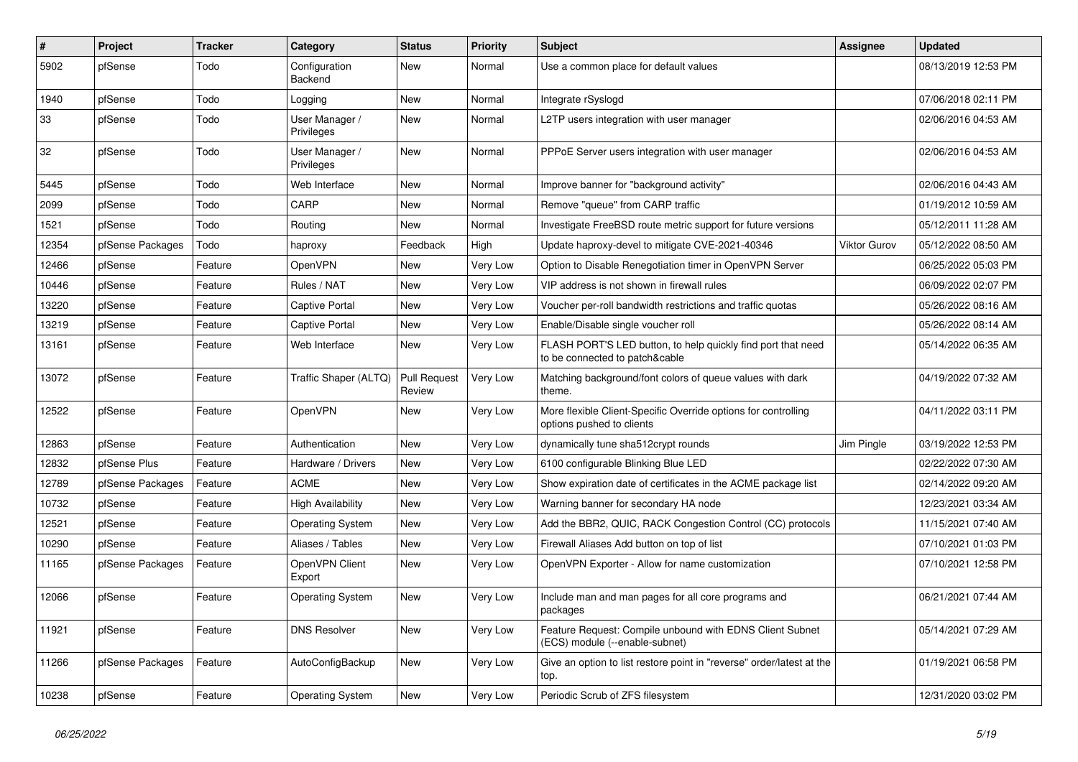| #     | Project          | <b>Tracker</b> | Category                     | <b>Status</b>                 | <b>Priority</b> | Subject                                                                                        | <b>Assignee</b> | <b>Updated</b>      |
|-------|------------------|----------------|------------------------------|-------------------------------|-----------------|------------------------------------------------------------------------------------------------|-----------------|---------------------|
| 5902  | pfSense          | Todo           | Configuration<br>Backend     | New                           | Normal          | Use a common place for default values                                                          |                 | 08/13/2019 12:53 PM |
| 1940  | pfSense          | Todo           | Logging                      | New                           | Normal          | Integrate rSyslogd                                                                             |                 | 07/06/2018 02:11 PM |
| 33    | pfSense          | Todo           | User Manager /<br>Privileges | New                           | Normal          | L2TP users integration with user manager                                                       |                 | 02/06/2016 04:53 AM |
| 32    | pfSense          | Todo           | User Manager /<br>Privileges | <b>New</b>                    | Normal          | PPPoE Server users integration with user manager                                               |                 | 02/06/2016 04:53 AM |
| 5445  | pfSense          | Todo           | Web Interface                | New                           | Normal          | Improve banner for "background activity"                                                       |                 | 02/06/2016 04:43 AM |
| 2099  | pfSense          | Todo           | CARP                         | New                           | Normal          | Remove "queue" from CARP traffic                                                               |                 | 01/19/2012 10:59 AM |
| 1521  | pfSense          | Todo           | Routing                      | <b>New</b>                    | Normal          | Investigate FreeBSD route metric support for future versions                                   |                 | 05/12/2011 11:28 AM |
| 12354 | pfSense Packages | Todo           | haproxy                      | Feedback                      | High            | Update haproxy-devel to mitigate CVE-2021-40346                                                | Viktor Gurov    | 05/12/2022 08:50 AM |
| 12466 | pfSense          | Feature        | OpenVPN                      | New                           | Very Low        | Option to Disable Renegotiation timer in OpenVPN Server                                        |                 | 06/25/2022 05:03 PM |
| 10446 | pfSense          | Feature        | Rules / NAT                  | <b>New</b>                    | Very Low        | VIP address is not shown in firewall rules                                                     |                 | 06/09/2022 02:07 PM |
| 13220 | pfSense          | Feature        | <b>Captive Portal</b>        | New                           | Very Low        | Voucher per-roll bandwidth restrictions and traffic quotas                                     |                 | 05/26/2022 08:16 AM |
| 13219 | pfSense          | Feature        | <b>Captive Portal</b>        | New                           | Very Low        | Enable/Disable single voucher roll                                                             |                 | 05/26/2022 08:14 AM |
| 13161 | pfSense          | Feature        | Web Interface                | New                           | Very Low        | FLASH PORT'S LED button, to help quickly find port that need<br>to be connected to patch&cable |                 | 05/14/2022 06:35 AM |
| 13072 | pfSense          | Feature        | Traffic Shaper (ALTQ)        | <b>Pull Request</b><br>Review | Very Low        | Matching background/font colors of queue values with dark<br>theme.                            |                 | 04/19/2022 07:32 AM |
| 12522 | pfSense          | Feature        | OpenVPN                      | New                           | Very Low        | More flexible Client-Specific Override options for controlling<br>options pushed to clients    |                 | 04/11/2022 03:11 PM |
| 12863 | pfSense          | Feature        | Authentication               | <b>New</b>                    | Very Low        | dynamically tune sha512crypt rounds                                                            | Jim Pingle      | 03/19/2022 12:53 PM |
| 12832 | pfSense Plus     | Feature        | Hardware / Drivers           | New                           | Very Low        | 6100 configurable Blinking Blue LED                                                            |                 | 02/22/2022 07:30 AM |
| 12789 | pfSense Packages | Feature        | <b>ACME</b>                  | <b>New</b>                    | Very Low        | Show expiration date of certificates in the ACME package list                                  |                 | 02/14/2022 09:20 AM |
| 10732 | pfSense          | Feature        | <b>High Availability</b>     | New                           | Very Low        | Warning banner for secondary HA node                                                           |                 | 12/23/2021 03:34 AM |
| 12521 | pfSense          | Feature        | <b>Operating System</b>      | <b>New</b>                    | Very Low        | Add the BBR2, QUIC, RACK Congestion Control (CC) protocols                                     |                 | 11/15/2021 07:40 AM |
| 10290 | pfSense          | Feature        | Aliases / Tables             | New                           | Very Low        | Firewall Aliases Add button on top of list                                                     |                 | 07/10/2021 01:03 PM |
| 11165 | pfSense Packages | Feature        | OpenVPN Client<br>Export     | New                           | Very Low        | OpenVPN Exporter - Allow for name customization                                                |                 | 07/10/2021 12:58 PM |
| 12066 | pfSense          | Feature        | <b>Operating System</b>      | <b>New</b>                    | Very Low        | Include man and man pages for all core programs and<br>packages                                |                 | 06/21/2021 07:44 AM |
| 11921 | pfSense          | Feature        | <b>DNS Resolver</b>          | New                           | Very Low        | Feature Request: Compile unbound with EDNS Client Subnet<br>(ECS) module (--enable-subnet)     |                 | 05/14/2021 07:29 AM |
| 11266 | pfSense Packages | Feature        | AutoConfigBackup             | New                           | Very Low        | Give an option to list restore point in "reverse" order/latest at the<br>top.                  |                 | 01/19/2021 06:58 PM |
| 10238 | pfSense          | Feature        | <b>Operating System</b>      | New                           | Very Low        | Periodic Scrub of ZFS filesystem                                                               |                 | 12/31/2020 03:02 PM |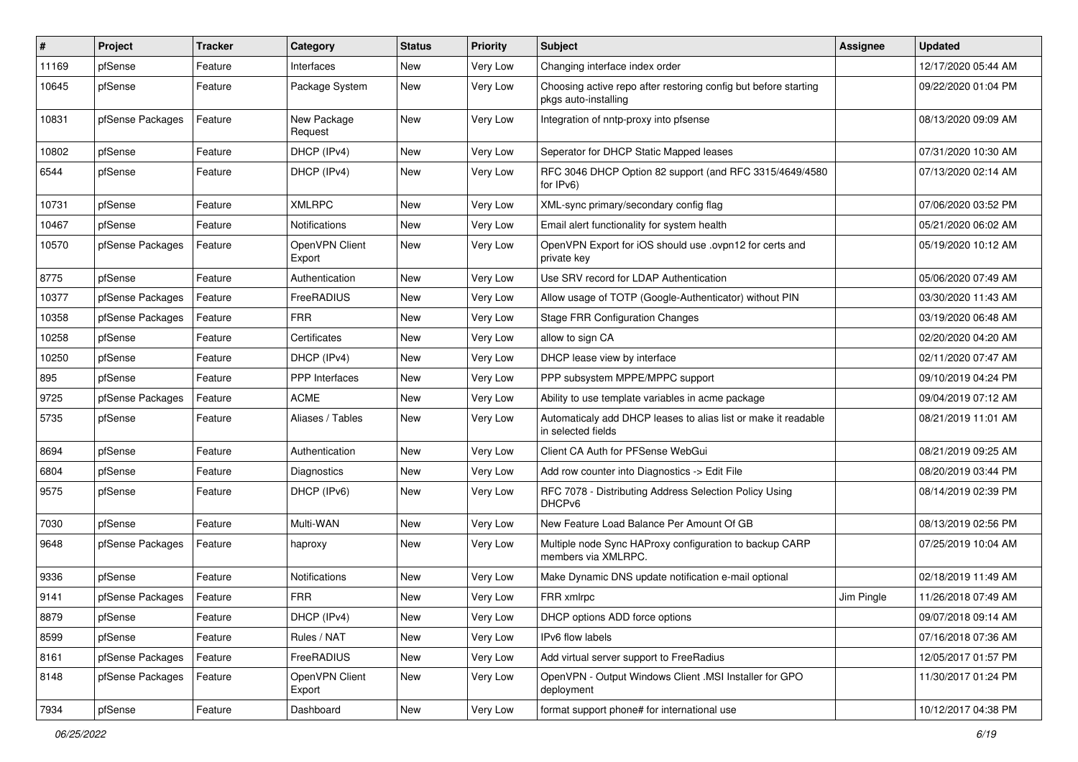| #     | Project          | <b>Tracker</b> | Category                 | <b>Status</b> | <b>Priority</b> | Subject                                                                                 | <b>Assignee</b> | <b>Updated</b>      |
|-------|------------------|----------------|--------------------------|---------------|-----------------|-----------------------------------------------------------------------------------------|-----------------|---------------------|
| 11169 | pfSense          | Feature        | Interfaces               | New           | Very Low        | Changing interface index order                                                          |                 | 12/17/2020 05:44 AM |
| 10645 | pfSense          | Feature        | Package System           | New           | Very Low        | Choosing active repo after restoring config but before starting<br>pkgs auto-installing |                 | 09/22/2020 01:04 PM |
| 10831 | pfSense Packages | Feature        | New Package<br>Request   | <b>New</b>    | Very Low        | Integration of nntp-proxy into pfsense                                                  |                 | 08/13/2020 09:09 AM |
| 10802 | pfSense          | Feature        | DHCP (IPv4)              | New           | Very Low        | Seperator for DHCP Static Mapped leases                                                 |                 | 07/31/2020 10:30 AM |
| 6544  | pfSense          | Feature        | DHCP (IPv4)              | New           | Very Low        | RFC 3046 DHCP Option 82 support (and RFC 3315/4649/4580<br>for $IPv6$ )                 |                 | 07/13/2020 02:14 AM |
| 10731 | pfSense          | Feature        | <b>XMLRPC</b>            | <b>New</b>    | Very Low        | XML-sync primary/secondary config flag                                                  |                 | 07/06/2020 03:52 PM |
| 10467 | pfSense          | Feature        | <b>Notifications</b>     | <b>New</b>    | Very Low        | Email alert functionality for system health                                             |                 | 05/21/2020 06:02 AM |
| 10570 | pfSense Packages | Feature        | OpenVPN Client<br>Export | New           | Very Low        | OpenVPN Export for iOS should use .ovpn12 for certs and<br>private key                  |                 | 05/19/2020 10:12 AM |
| 8775  | pfSense          | Feature        | Authentication           | <b>New</b>    | Very Low        | Use SRV record for LDAP Authentication                                                  |                 | 05/06/2020 07:49 AM |
| 10377 | pfSense Packages | Feature        | FreeRADIUS               | New           | Very Low        | Allow usage of TOTP (Google-Authenticator) without PIN                                  |                 | 03/30/2020 11:43 AM |
| 10358 | pfSense Packages | Feature        | <b>FRR</b>               | New           | Very Low        | <b>Stage FRR Configuration Changes</b>                                                  |                 | 03/19/2020 06:48 AM |
| 10258 | pfSense          | Feature        | Certificates             | New           | Very Low        | allow to sign CA                                                                        |                 | 02/20/2020 04:20 AM |
| 10250 | pfSense          | Feature        | DHCP (IPv4)              | New           | Very Low        | DHCP lease view by interface                                                            |                 | 02/11/2020 07:47 AM |
| 895   | pfSense          | Feature        | <b>PPP</b> Interfaces    | <b>New</b>    | Very Low        | PPP subsystem MPPE/MPPC support                                                         |                 | 09/10/2019 04:24 PM |
| 9725  | pfSense Packages | Feature        | <b>ACME</b>              | New           | Very Low        | Ability to use template variables in acme package                                       |                 | 09/04/2019 07:12 AM |
| 5735  | pfSense          | Feature        | Aliases / Tables         | New           | Very Low        | Automaticaly add DHCP leases to alias list or make it readable<br>in selected fields    |                 | 08/21/2019 11:01 AM |
| 8694  | pfSense          | Feature        | Authentication           | <b>New</b>    | Very Low        | Client CA Auth for PFSense WebGui                                                       |                 | 08/21/2019 09:25 AM |
| 6804  | pfSense          | Feature        | Diagnostics              | New           | Very Low        | Add row counter into Diagnostics -> Edit File                                           |                 | 08/20/2019 03:44 PM |
| 9575  | pfSense          | Feature        | DHCP (IPv6)              | <b>New</b>    | Very Low        | RFC 7078 - Distributing Address Selection Policy Using<br>DHCPv6                        |                 | 08/14/2019 02:39 PM |
| 7030  | pfSense          | Feature        | Multi-WAN                | <b>New</b>    | Very Low        | New Feature Load Balance Per Amount Of GB                                               |                 | 08/13/2019 02:56 PM |
| 9648  | pfSense Packages | Feature        | haproxy                  | New           | Very Low        | Multiple node Sync HAProxy configuration to backup CARP<br>members via XMLRPC.          |                 | 07/25/2019 10:04 AM |
| 9336  | pfSense          | Feature        | Notifications            | <b>New</b>    | Very Low        | Make Dynamic DNS update notification e-mail optional                                    |                 | 02/18/2019 11:49 AM |
| 9141  | pfSense Packages | Feature        | <b>FRR</b>               | New           | Very Low        | FRR xmlrpc                                                                              | Jim Pingle      | 11/26/2018 07:49 AM |
| 8879  | pfSense          | Feature        | DHCP (IPv4)              | New           | Very Low        | DHCP options ADD force options                                                          |                 | 09/07/2018 09:14 AM |
| 8599  | pfSense          | Feature        | Rules / NAT              | New           | Very Low        | IPv6 flow labels                                                                        |                 | 07/16/2018 07:36 AM |
| 8161  | pfSense Packages | Feature        | FreeRADIUS               | New           | Very Low        | Add virtual server support to FreeRadius                                                |                 | 12/05/2017 01:57 PM |
| 8148  | pfSense Packages | Feature        | OpenVPN Client<br>Export | New           | Very Low        | OpenVPN - Output Windows Client .MSI Installer for GPO<br>deployment                    |                 | 11/30/2017 01:24 PM |
| 7934  | pfSense          | Feature        | Dashboard                | New           | Very Low        | format support phone# for international use                                             |                 | 10/12/2017 04:38 PM |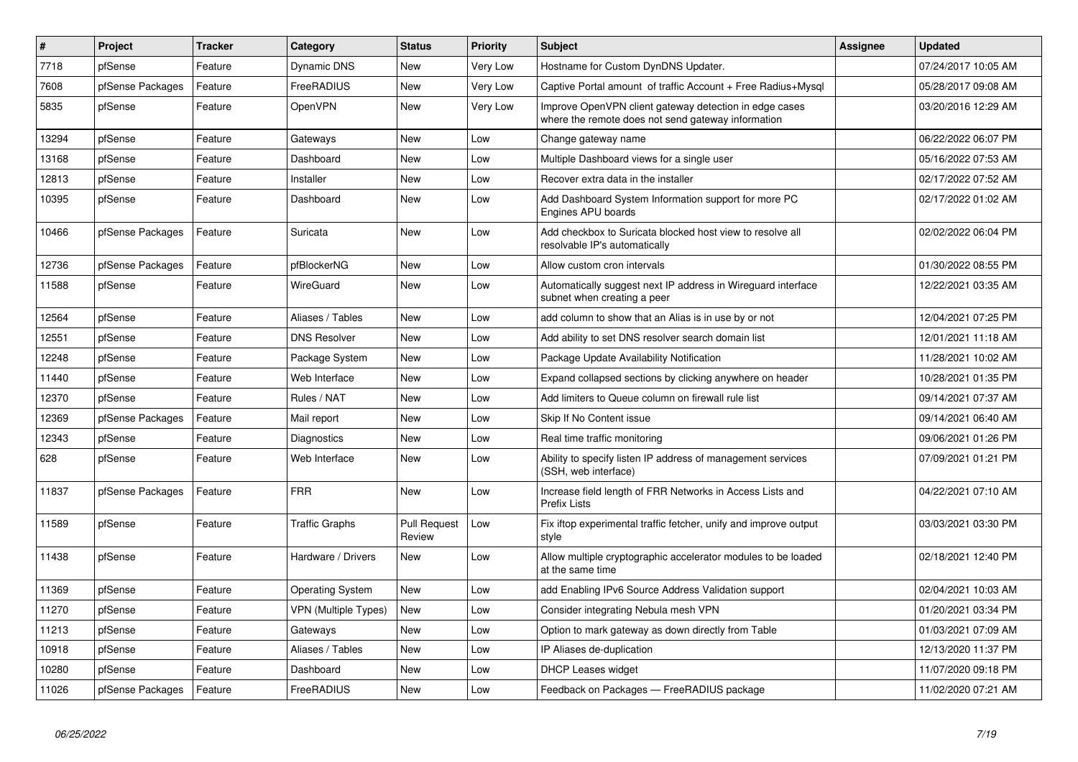| #     | <b>Project</b>   | <b>Tracker</b> | Category                    | <b>Status</b>                 | <b>Priority</b> | <b>Subject</b>                                                                                               | <b>Assignee</b> | <b>Updated</b>      |
|-------|------------------|----------------|-----------------------------|-------------------------------|-----------------|--------------------------------------------------------------------------------------------------------------|-----------------|---------------------|
| 7718  | pfSense          | Feature        | Dynamic DNS                 | New                           | Very Low        | Hostname for Custom DynDNS Updater.                                                                          |                 | 07/24/2017 10:05 AM |
| 7608  | pfSense Packages | Feature        | FreeRADIUS                  | <b>New</b>                    | Very Low        | Captive Portal amount of traffic Account + Free Radius+Mysql                                                 |                 | 05/28/2017 09:08 AM |
| 5835  | pfSense          | Feature        | OpenVPN                     | <b>New</b>                    | Very Low        | Improve OpenVPN client gateway detection in edge cases<br>where the remote does not send gateway information |                 | 03/20/2016 12:29 AM |
| 13294 | pfSense          | Feature        | Gateways                    | <b>New</b>                    | Low             | Change gateway name                                                                                          |                 | 06/22/2022 06:07 PM |
| 13168 | pfSense          | Feature        | Dashboard                   | New                           | Low             | Multiple Dashboard views for a single user                                                                   |                 | 05/16/2022 07:53 AM |
| 12813 | pfSense          | Feature        | Installer                   | <b>New</b>                    | Low             | Recover extra data in the installer                                                                          |                 | 02/17/2022 07:52 AM |
| 10395 | pfSense          | Feature        | Dashboard                   | <b>New</b>                    | Low             | Add Dashboard System Information support for more PC<br>Engines APU boards                                   |                 | 02/17/2022 01:02 AM |
| 10466 | pfSense Packages | Feature        | Suricata                    | <b>New</b>                    | Low             | Add checkbox to Suricata blocked host view to resolve all<br>resolvable IP's automatically                   |                 | 02/02/2022 06:04 PM |
| 12736 | pfSense Packages | Feature        | pfBlockerNG                 | New                           | Low             | Allow custom cron intervals                                                                                  |                 | 01/30/2022 08:55 PM |
| 11588 | pfSense          | Feature        | WireGuard                   | <b>New</b>                    | Low             | Automatically suggest next IP address in Wireguard interface<br>subnet when creating a peer                  |                 | 12/22/2021 03:35 AM |
| 12564 | pfSense          | Feature        | Aliases / Tables            | New                           | Low             | add column to show that an Alias is in use by or not                                                         |                 | 12/04/2021 07:25 PM |
| 12551 | pfSense          | Feature        | <b>DNS Resolver</b>         | <b>New</b>                    | Low             | Add ability to set DNS resolver search domain list                                                           |                 | 12/01/2021 11:18 AM |
| 12248 | pfSense          | Feature        | Package System              | New                           | Low             | Package Update Availability Notification                                                                     |                 | 11/28/2021 10:02 AM |
| 11440 | pfSense          | Feature        | Web Interface               | <b>New</b>                    | Low             | Expand collapsed sections by clicking anywhere on header                                                     |                 | 10/28/2021 01:35 PM |
| 12370 | pfSense          | Feature        | Rules / NAT                 | <b>New</b>                    | Low             | Add limiters to Queue column on firewall rule list                                                           |                 | 09/14/2021 07:37 AM |
| 12369 | pfSense Packages | Feature        | Mail report                 | <b>New</b>                    | Low             | Skip If No Content issue                                                                                     |                 | 09/14/2021 06:40 AM |
| 12343 | pfSense          | Feature        | Diagnostics                 | New                           | Low             | Real time traffic monitoring                                                                                 |                 | 09/06/2021 01:26 PM |
| 628   | pfSense          | Feature        | Web Interface               | <b>New</b>                    | Low             | Ability to specify listen IP address of management services<br>(SSH, web interface)                          |                 | 07/09/2021 01:21 PM |
| 11837 | pfSense Packages | Feature        | <b>FRR</b>                  | <b>New</b>                    | Low             | Increase field length of FRR Networks in Access Lists and<br><b>Prefix Lists</b>                             |                 | 04/22/2021 07:10 AM |
| 11589 | pfSense          | Feature        | <b>Traffic Graphs</b>       | <b>Pull Request</b><br>Review | Low             | Fix iftop experimental traffic fetcher, unify and improve output<br>style                                    |                 | 03/03/2021 03:30 PM |
| 11438 | pfSense          | Feature        | Hardware / Drivers          | New                           | Low             | Allow multiple cryptographic accelerator modules to be loaded<br>at the same time                            |                 | 02/18/2021 12:40 PM |
| 11369 | pfSense          | Feature        | <b>Operating System</b>     | <b>New</b>                    | Low             | add Enabling IPv6 Source Address Validation support                                                          |                 | 02/04/2021 10:03 AM |
| 11270 | pfSense          | Feature        | <b>VPN (Multiple Types)</b> | New                           | Low             | Consider integrating Nebula mesh VPN                                                                         |                 | 01/20/2021 03:34 PM |
| 11213 | pfSense          | Feature        | Gateways                    | <b>New</b>                    | Low             | Option to mark gateway as down directly from Table                                                           |                 | 01/03/2021 07:09 AM |
| 10918 | pfSense          | Feature        | Aliases / Tables            | New                           | Low             | IP Aliases de-duplication                                                                                    |                 | 12/13/2020 11:37 PM |
| 10280 | pfSense          | Feature        | Dashboard                   | New                           | Low             | <b>DHCP Leases widget</b>                                                                                    |                 | 11/07/2020 09:18 PM |
| 11026 | pfSense Packages | Feature        | FreeRADIUS                  | New                           | Low             | Feedback on Packages - FreeRADIUS package                                                                    |                 | 11/02/2020 07:21 AM |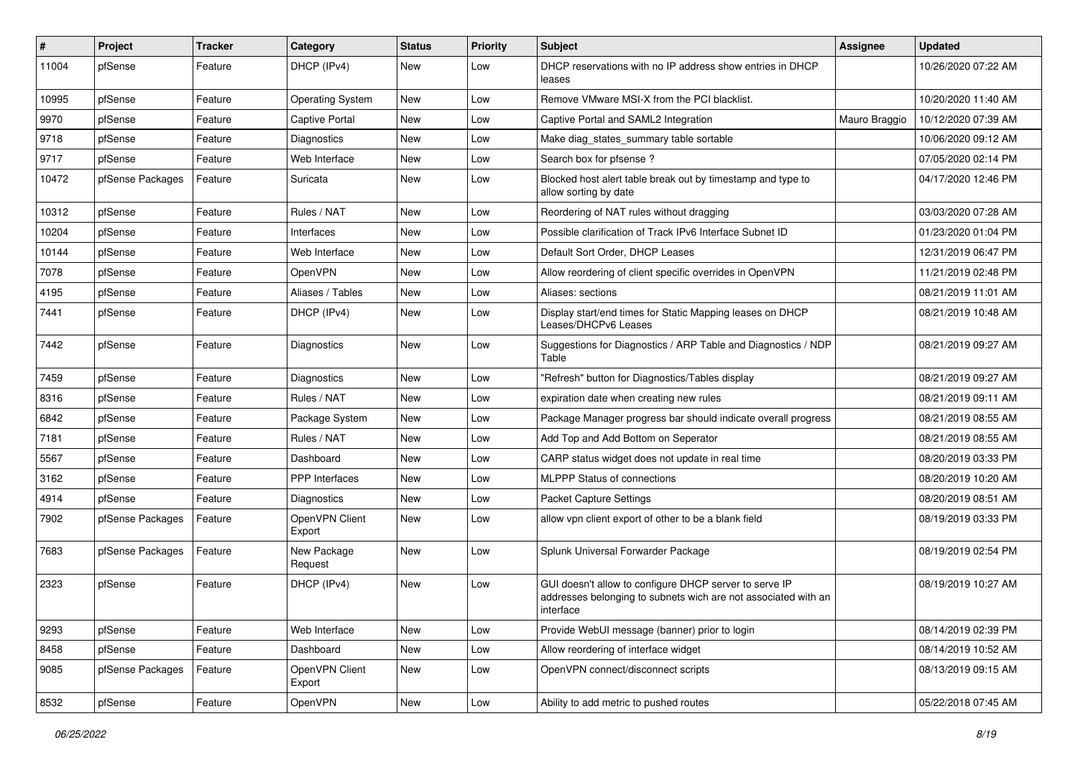| #     | <b>Project</b>   | <b>Tracker</b> | Category                 | <b>Status</b> | <b>Priority</b> | <b>Subject</b>                                                                                                                        | <b>Assignee</b> | <b>Updated</b>      |
|-------|------------------|----------------|--------------------------|---------------|-----------------|---------------------------------------------------------------------------------------------------------------------------------------|-----------------|---------------------|
| 11004 | pfSense          | Feature        | DHCP (IPv4)              | New           | Low             | DHCP reservations with no IP address show entries in DHCP<br>leases                                                                   |                 | 10/26/2020 07:22 AM |
| 10995 | pfSense          | Feature        | <b>Operating System</b>  | New           | Low             | Remove VMware MSI-X from the PCI blacklist.                                                                                           |                 | 10/20/2020 11:40 AM |
| 9970  | pfSense          | Feature        | <b>Captive Portal</b>    | New           | Low             | Captive Portal and SAML2 Integration                                                                                                  | Mauro Braggio   | 10/12/2020 07:39 AM |
| 9718  | pfSense          | Feature        | Diagnostics              | <b>New</b>    | Low             | Make diag_states_summary table sortable                                                                                               |                 | 10/06/2020 09:12 AM |
| 9717  | pfSense          | Feature        | Web Interface            | New           | Low             | Search box for pfsense?                                                                                                               |                 | 07/05/2020 02:14 PM |
| 10472 | pfSense Packages | Feature        | Suricata                 | New           | Low             | Blocked host alert table break out by timestamp and type to<br>allow sorting by date                                                  |                 | 04/17/2020 12:46 PM |
| 10312 | pfSense          | Feature        | Rules / NAT              | New           | Low             | Reordering of NAT rules without dragging                                                                                              |                 | 03/03/2020 07:28 AM |
| 10204 | pfSense          | Feature        | Interfaces               | <b>New</b>    | Low             | Possible clarification of Track IPv6 Interface Subnet ID                                                                              |                 | 01/23/2020 01:04 PM |
| 10144 | pfSense          | Feature        | Web Interface            | New           | Low             | Default Sort Order, DHCP Leases                                                                                                       |                 | 12/31/2019 06:47 PM |
| 7078  | pfSense          | Feature        | <b>OpenVPN</b>           | New           | Low             | Allow reordering of client specific overrides in OpenVPN                                                                              |                 | 11/21/2019 02:48 PM |
| 4195  | pfSense          | Feature        | Aliases / Tables         | <b>New</b>    | Low             | Aliases: sections                                                                                                                     |                 | 08/21/2019 11:01 AM |
| 7441  | pfSense          | Feature        | DHCP (IPv4)              | New           | Low             | Display start/end times for Static Mapping leases on DHCP<br>Leases/DHCPv6 Leases                                                     |                 | 08/21/2019 10:48 AM |
| 7442  | pfSense          | Feature        | Diagnostics              | New           | Low             | Suggestions for Diagnostics / ARP Table and Diagnostics / NDP<br>Table                                                                |                 | 08/21/2019 09:27 AM |
| 7459  | pfSense          | Feature        | Diagnostics              | <b>New</b>    | Low             | 'Refresh" button for Diagnostics/Tables display                                                                                       |                 | 08/21/2019 09:27 AM |
| 8316  | pfSense          | Feature        | Rules / NAT              | New           | Low             | expiration date when creating new rules                                                                                               |                 | 08/21/2019 09:11 AM |
| 6842  | pfSense          | Feature        | Package System           | New           | Low             | Package Manager progress bar should indicate overall progress                                                                         |                 | 08/21/2019 08:55 AM |
| 7181  | pfSense          | Feature        | Rules / NAT              | <b>New</b>    | Low             | Add Top and Add Bottom on Seperator                                                                                                   |                 | 08/21/2019 08:55 AM |
| 5567  | pfSense          | Feature        | Dashboard                | New           | Low             | CARP status widget does not update in real time                                                                                       |                 | 08/20/2019 03:33 PM |
| 3162  | pfSense          | Feature        | <b>PPP</b> Interfaces    | New           | Low             | <b>MLPPP Status of connections</b>                                                                                                    |                 | 08/20/2019 10:20 AM |
| 4914  | pfSense          | Feature        | Diagnostics              | New           | Low             | <b>Packet Capture Settings</b>                                                                                                        |                 | 08/20/2019 08:51 AM |
| 7902  | pfSense Packages | Feature        | OpenVPN Client<br>Export | New           | Low             | allow vpn client export of other to be a blank field                                                                                  |                 | 08/19/2019 03:33 PM |
| 7683  | pfSense Packages | Feature        | New Package<br>Request   | <b>New</b>    | Low             | Splunk Universal Forwarder Package                                                                                                    |                 | 08/19/2019 02:54 PM |
| 2323  | pfSense          | Feature        | DHCP (IPv4)              | New           | Low             | GUI doesn't allow to configure DHCP server to serve IP<br>addresses belonging to subnets wich are not associated with an<br>interrace |                 | 08/19/2019 10:27 AM |
| 9293  | pfSense          | Feature        | Web Interface            | New           | Low             | Provide WebUI message (banner) prior to login                                                                                         |                 | 08/14/2019 02:39 PM |
| 8458  | pfSense          | Feature        | Dashboard                | New           | Low             | Allow reordering of interface widget                                                                                                  |                 | 08/14/2019 10:52 AM |
| 9085  | pfSense Packages | Feature        | OpenVPN Client<br>Export | New           | Low             | OpenVPN connect/disconnect scripts                                                                                                    |                 | 08/13/2019 09:15 AM |
| 8532  | pfSense          | Feature        | OpenVPN                  | New           | Low             | Ability to add metric to pushed routes                                                                                                |                 | 05/22/2018 07:45 AM |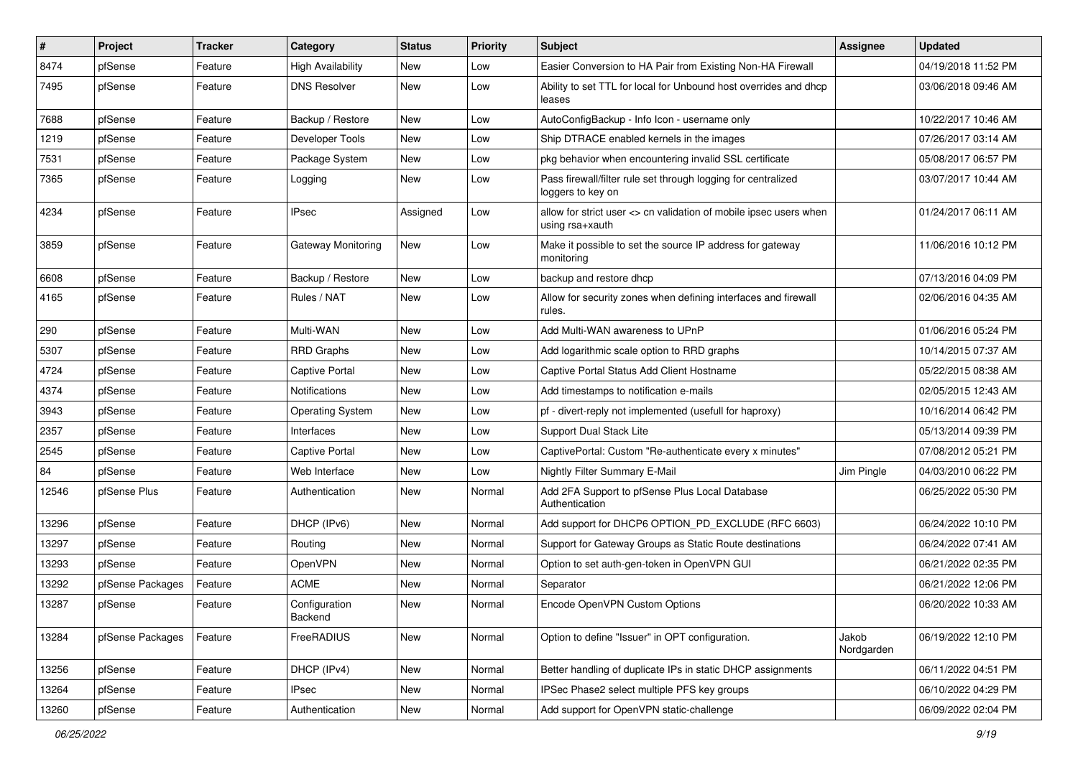| #     | Project          | <b>Tracker</b> | Category                  | <b>Status</b> | <b>Priority</b> | Subject                                                                              | <b>Assignee</b>     | <b>Updated</b>      |
|-------|------------------|----------------|---------------------------|---------------|-----------------|--------------------------------------------------------------------------------------|---------------------|---------------------|
| 8474  | pfSense          | Feature        | <b>High Availability</b>  | New           | Low             | Easier Conversion to HA Pair from Existing Non-HA Firewall                           |                     | 04/19/2018 11:52 PM |
| 7495  | pfSense          | Feature        | <b>DNS Resolver</b>       | New           | Low             | Ability to set TTL for local for Unbound host overrides and dhcp<br>leases           |                     | 03/06/2018 09:46 AM |
| 7688  | pfSense          | Feature        | Backup / Restore          | <b>New</b>    | Low             | AutoConfigBackup - Info Icon - username only                                         |                     | 10/22/2017 10:46 AM |
| 1219  | pfSense          | Feature        | Developer Tools           | <b>New</b>    | Low             | Ship DTRACE enabled kernels in the images                                            |                     | 07/26/2017 03:14 AM |
| 7531  | pfSense          | Feature        | Package System            | New           | Low             | pkg behavior when encountering invalid SSL certificate                               |                     | 05/08/2017 06:57 PM |
| 7365  | pfSense          | Feature        | Logging                   | New           | Low             | Pass firewall/filter rule set through logging for centralized<br>loggers to key on   |                     | 03/07/2017 10:44 AM |
| 4234  | pfSense          | Feature        | <b>IPsec</b>              | Assigned      | Low             | allow for strict user <> cn validation of mobile ipsec users when<br>using rsa+xauth |                     | 01/24/2017 06:11 AM |
| 3859  | pfSense          | Feature        | <b>Gateway Monitoring</b> | <b>New</b>    | Low             | Make it possible to set the source IP address for gateway<br>monitoring              |                     | 11/06/2016 10:12 PM |
| 6608  | pfSense          | Feature        | Backup / Restore          | New           | Low             | backup and restore dhcp                                                              |                     | 07/13/2016 04:09 PM |
| 4165  | pfSense          | Feature        | Rules / NAT               | New           | Low             | Allow for security zones when defining interfaces and firewall<br>rules.             |                     | 02/06/2016 04:35 AM |
| 290   | pfSense          | Feature        | Multi-WAN                 | <b>New</b>    | Low             | Add Multi-WAN awareness to UPnP                                                      |                     | 01/06/2016 05:24 PM |
| 5307  | pfSense          | Feature        | <b>RRD Graphs</b>         | New           | Low             | Add logarithmic scale option to RRD graphs                                           |                     | 10/14/2015 07:37 AM |
| 4724  | pfSense          | Feature        | <b>Captive Portal</b>     | New           | Low             | Captive Portal Status Add Client Hostname                                            |                     | 05/22/2015 08:38 AM |
| 4374  | pfSense          | Feature        | <b>Notifications</b>      | <b>New</b>    | Low             | Add timestamps to notification e-mails                                               |                     | 02/05/2015 12:43 AM |
| 3943  | pfSense          | Feature        | <b>Operating System</b>   | New           | Low             | pf - divert-reply not implemented (usefull for haproxy)                              |                     | 10/16/2014 06:42 PM |
| 2357  | pfSense          | Feature        | Interfaces                | <b>New</b>    | Low             | Support Dual Stack Lite                                                              |                     | 05/13/2014 09:39 PM |
| 2545  | pfSense          | Feature        | Captive Portal            | New           | Low             | CaptivePortal: Custom "Re-authenticate every x minutes"                              |                     | 07/08/2012 05:21 PM |
| 84    | pfSense          | Feature        | Web Interface             | New           | Low             | Nightly Filter Summary E-Mail                                                        | Jim Pingle          | 04/03/2010 06:22 PM |
| 12546 | pfSense Plus     | Feature        | Authentication            | <b>New</b>    | Normal          | Add 2FA Support to pfSense Plus Local Database<br>Authentication                     |                     | 06/25/2022 05:30 PM |
| 13296 | pfSense          | Feature        | DHCP (IPv6)               | New           | Normal          | Add support for DHCP6 OPTION_PD_EXCLUDE (RFC 6603)                                   |                     | 06/24/2022 10:10 PM |
| 13297 | pfSense          | Feature        | Routing                   | New           | Normal          | Support for Gateway Groups as Static Route destinations                              |                     | 06/24/2022 07:41 AM |
| 13293 | pfSense          | Feature        | OpenVPN                   | New           | Normal          | Option to set auth-gen-token in OpenVPN GUI                                          |                     | 06/21/2022 02:35 PM |
| 13292 | pfSense Packages | Feature        | ACME                      | <b>New</b>    | Normal          | Separator                                                                            |                     | 06/21/2022 12:06 PM |
| 13287 | pfSense          | Feature        | Configuration<br>Backend  | New           | Normal          | Encode OpenVPN Custom Options                                                        |                     | 06/20/2022 10:33 AM |
| 13284 | pfSense Packages | Feature        | FreeRADIUS                | New           | Normal          | Option to define "Issuer" in OPT configuration.                                      | Jakob<br>Nordgarden | 06/19/2022 12:10 PM |
| 13256 | pfSense          | Feature        | DHCP (IPv4)               | New           | Normal          | Better handling of duplicate IPs in static DHCP assignments                          |                     | 06/11/2022 04:51 PM |
| 13264 | pfSense          | Feature        | <b>IPsec</b>              | New           | Normal          | IPSec Phase2 select multiple PFS key groups                                          |                     | 06/10/2022 04:29 PM |
| 13260 | pfSense          | Feature        | Authentication            | New           | Normal          | Add support for OpenVPN static-challenge                                             |                     | 06/09/2022 02:04 PM |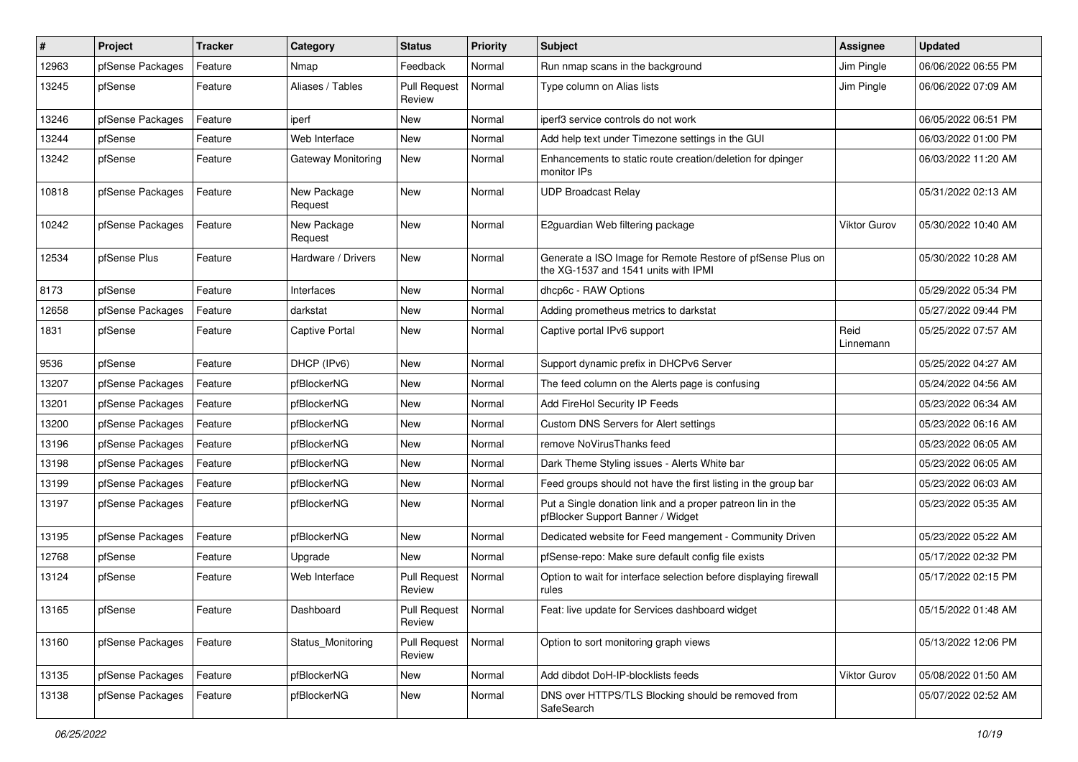| $\sharp$ | Project          | <b>Tracker</b> | Category                  | <b>Status</b>                   | Priority | Subject                                                                                            | <b>Assignee</b>     | <b>Updated</b>      |
|----------|------------------|----------------|---------------------------|---------------------------------|----------|----------------------------------------------------------------------------------------------------|---------------------|---------------------|
| 12963    | pfSense Packages | Feature        | Nmap                      | Feedback                        | Normal   | Run nmap scans in the background                                                                   | Jim Pingle          | 06/06/2022 06:55 PM |
| 13245    | pfSense          | Feature        | Aliases / Tables          | <b>Pull Request</b><br>Review   | Normal   | Type column on Alias lists                                                                         | Jim Pingle          | 06/06/2022 07:09 AM |
| 13246    | pfSense Packages | Feature        | iperf                     | New                             | Normal   | iperf3 service controls do not work                                                                |                     | 06/05/2022 06:51 PM |
| 13244    | pfSense          | Feature        | Web Interface             | New                             | Normal   | Add help text under Timezone settings in the GUI                                                   |                     | 06/03/2022 01:00 PM |
| 13242    | pfSense          | Feature        | <b>Gateway Monitoring</b> | New                             | Normal   | Enhancements to static route creation/deletion for dpinger<br>monitor IPs                          |                     | 06/03/2022 11:20 AM |
| 10818    | pfSense Packages | Feature        | New Package<br>Request    | New                             | Normal   | <b>UDP Broadcast Relay</b>                                                                         |                     | 05/31/2022 02:13 AM |
| 10242    | pfSense Packages | Feature        | New Package<br>Request    | New                             | Normal   | E2guardian Web filtering package                                                                   | <b>Viktor Gurov</b> | 05/30/2022 10:40 AM |
| 12534    | pfSense Plus     | Feature        | Hardware / Drivers        | New                             | Normal   | Generate a ISO Image for Remote Restore of pfSense Plus on<br>the XG-1537 and 1541 units with IPMI |                     | 05/30/2022 10:28 AM |
| 8173     | pfSense          | Feature        | Interfaces                | New                             | Normal   | dhcp6c - RAW Options                                                                               |                     | 05/29/2022 05:34 PM |
| 12658    | pfSense Packages | Feature        | darkstat                  | New                             | Normal   | Adding prometheus metrics to darkstat                                                              |                     | 05/27/2022 09:44 PM |
| 1831     | pfSense          | Feature        | <b>Captive Portal</b>     | New                             | Normal   | Captive portal IPv6 support                                                                        | Reid<br>Linnemann   | 05/25/2022 07:57 AM |
| 9536     | pfSense          | Feature        | DHCP (IPv6)               | New                             | Normal   | Support dynamic prefix in DHCPv6 Server                                                            |                     | 05/25/2022 04:27 AM |
| 13207    | pfSense Packages | Feature        | pfBlockerNG               | <b>New</b>                      | Normal   | The feed column on the Alerts page is confusing                                                    |                     | 05/24/2022 04:56 AM |
| 13201    | pfSense Packages | Feature        | pfBlockerNG               | New                             | Normal   | Add FireHol Security IP Feeds                                                                      |                     | 05/23/2022 06:34 AM |
| 13200    | pfSense Packages | Feature        | pfBlockerNG               | <b>New</b>                      | Normal   | Custom DNS Servers for Alert settings                                                              |                     | 05/23/2022 06:16 AM |
| 13196    | pfSense Packages | Feature        | pfBlockerNG               | New                             | Normal   | remove NoVirusThanks feed                                                                          |                     | 05/23/2022 06:05 AM |
| 13198    | pfSense Packages | Feature        | pfBlockerNG               | New                             | Normal   | Dark Theme Styling issues - Alerts White bar                                                       |                     | 05/23/2022 06:05 AM |
| 13199    | pfSense Packages | Feature        | pfBlockerNG               | New                             | Normal   | Feed groups should not have the first listing in the group bar                                     |                     | 05/23/2022 06:03 AM |
| 13197    | pfSense Packages | Feature        | pfBlockerNG               | New                             | Normal   | Put a Single donation link and a proper patreon lin in the<br>pfBlocker Support Banner / Widget    |                     | 05/23/2022 05:35 AM |
| 13195    | pfSense Packages | Feature        | pfBlockerNG               | <b>New</b>                      | Normal   | Dedicated website for Feed mangement - Community Driven                                            |                     | 05/23/2022 05:22 AM |
| 12768    | pfSense          | Feature        | Upgrade                   | New                             | Normal   | pfSense-repo: Make sure default config file exists                                                 |                     | 05/17/2022 02:32 PM |
| 13124    | pfSense          | Feature        | Web Interface             | <b>Pull Request</b><br>Review   | Normal   | Option to wait for interface selection before displaying firewall<br>rules                         |                     | 05/17/2022 02:15 PM |
| 13165    | pfSense          | Feature        | Dashboard                 | Pull Request   Normal<br>Review |          | Feat: live update for Services dashboard widget                                                    |                     | 05/15/2022 01:48 AM |
| 13160    | pfSense Packages | Feature        | Status_Monitoring         | <b>Pull Request</b><br>Review   | Normal   | Option to sort monitoring graph views                                                              |                     | 05/13/2022 12:06 PM |
| 13135    | pfSense Packages | Feature        | pfBlockerNG               | New                             | Normal   | Add dibdot DoH-IP-blocklists feeds                                                                 | Viktor Gurov        | 05/08/2022 01:50 AM |
| 13138    | pfSense Packages | Feature        | pfBlockerNG               | New                             | Normal   | DNS over HTTPS/TLS Blocking should be removed from<br>SafeSearch                                   |                     | 05/07/2022 02:52 AM |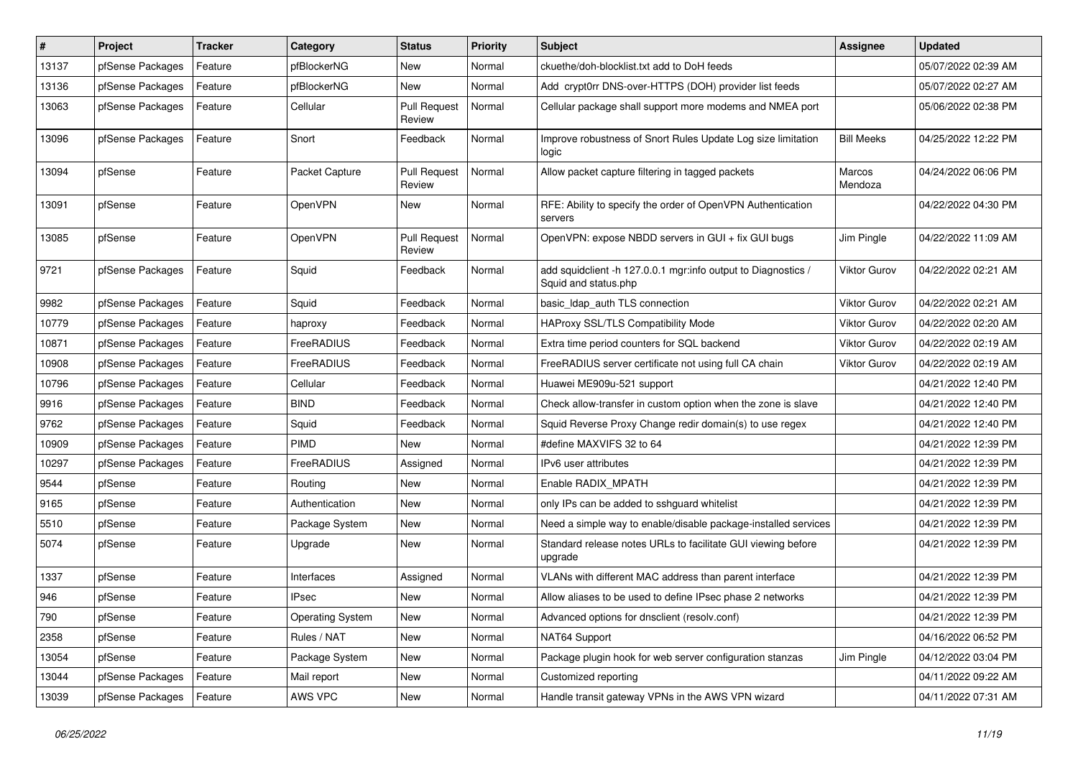| #     | Project          | <b>Tracker</b> | Category                | <b>Status</b>                 | <b>Priority</b> | Subject                                                                               | <b>Assignee</b>     | <b>Updated</b>      |
|-------|------------------|----------------|-------------------------|-------------------------------|-----------------|---------------------------------------------------------------------------------------|---------------------|---------------------|
| 13137 | pfSense Packages | Feature        | pfBlockerNG             | New                           | Normal          | ckuethe/doh-blocklist.txt add to DoH feeds                                            |                     | 05/07/2022 02:39 AM |
| 13136 | pfSense Packages | Feature        | pfBlockerNG             | <b>New</b>                    | Normal          | Add crypt0rr DNS-over-HTTPS (DOH) provider list feeds                                 |                     | 05/07/2022 02:27 AM |
| 13063 | pfSense Packages | Feature        | Cellular                | <b>Pull Request</b><br>Review | Normal          | Cellular package shall support more modems and NMEA port                              |                     | 05/06/2022 02:38 PM |
| 13096 | pfSense Packages | Feature        | Snort                   | Feedback                      | Normal          | Improve robustness of Snort Rules Update Log size limitation<br>logic                 | <b>Bill Meeks</b>   | 04/25/2022 12:22 PM |
| 13094 | pfSense          | Feature        | Packet Capture          | <b>Pull Request</b><br>Review | Normal          | Allow packet capture filtering in tagged packets                                      | Marcos<br>Mendoza   | 04/24/2022 06:06 PM |
| 13091 | pfSense          | Feature        | OpenVPN                 | New                           | Normal          | RFE: Ability to specify the order of OpenVPN Authentication<br>servers                |                     | 04/22/2022 04:30 PM |
| 13085 | pfSense          | Feature        | OpenVPN                 | <b>Pull Request</b><br>Review | Normal          | OpenVPN: expose NBDD servers in GUI + fix GUI bugs                                    | Jim Pingle          | 04/22/2022 11:09 AM |
| 9721  | pfSense Packages | Feature        | Squid                   | Feedback                      | Normal          | add squidclient -h 127.0.0.1 mgr:info output to Diagnostics /<br>Squid and status.php | <b>Viktor Gurov</b> | 04/22/2022 02:21 AM |
| 9982  | pfSense Packages | Feature        | Squid                   | Feedback                      | Normal          | basic Idap auth TLS connection                                                        | <b>Viktor Gurov</b> | 04/22/2022 02:21 AM |
| 10779 | pfSense Packages | Feature        | haproxy                 | Feedback                      | Normal          | HAProxy SSL/TLS Compatibility Mode                                                    | <b>Viktor Gurov</b> | 04/22/2022 02:20 AM |
| 10871 | pfSense Packages | Feature        | FreeRADIUS              | Feedback                      | Normal          | Extra time period counters for SQL backend                                            | <b>Viktor Gurov</b> | 04/22/2022 02:19 AM |
| 10908 | pfSense Packages | Feature        | FreeRADIUS              | Feedback                      | Normal          | FreeRADIUS server certificate not using full CA chain                                 | <b>Viktor Gurov</b> | 04/22/2022 02:19 AM |
| 10796 | pfSense Packages | Feature        | Cellular                | Feedback                      | Normal          | Huawei ME909u-521 support                                                             |                     | 04/21/2022 12:40 PM |
| 9916  | pfSense Packages | Feature        | <b>BIND</b>             | Feedback                      | Normal          | Check allow-transfer in custom option when the zone is slave                          |                     | 04/21/2022 12:40 PM |
| 9762  | pfSense Packages | Feature        | Squid                   | Feedback                      | Normal          | Squid Reverse Proxy Change redir domain(s) to use regex                               |                     | 04/21/2022 12:40 PM |
| 10909 | pfSense Packages | Feature        | <b>PIMD</b>             | New                           | Normal          | #define MAXVIFS 32 to 64                                                              |                     | 04/21/2022 12:39 PM |
| 10297 | pfSense Packages | Feature        | FreeRADIUS              | Assigned                      | Normal          | IPv6 user attributes                                                                  |                     | 04/21/2022 12:39 PM |
| 9544  | pfSense          | Feature        | Routing                 | <b>New</b>                    | Normal          | Enable RADIX_MPATH                                                                    |                     | 04/21/2022 12:39 PM |
| 9165  | pfSense          | Feature        | Authentication          | New                           | Normal          | only IPs can be added to sshguard whitelist                                           |                     | 04/21/2022 12:39 PM |
| 5510  | pfSense          | Feature        | Package System          | <b>New</b>                    | Normal          | Need a simple way to enable/disable package-installed services                        |                     | 04/21/2022 12:39 PM |
| 5074  | pfSense          | Feature        | Upgrade                 | New                           | Normal          | Standard release notes URLs to facilitate GUI viewing before<br>upgrade               |                     | 04/21/2022 12:39 PM |
| 1337  | pfSense          | Feature        | Interfaces              | Assigned                      | Normal          | VLANs with different MAC address than parent interface                                |                     | 04/21/2022 12:39 PM |
| 946   | pfSense          | Feature        | <b>IPsec</b>            | New                           | Normal          | Allow aliases to be used to define IPsec phase 2 networks                             |                     | 04/21/2022 12:39 PM |
| 790   | pfSense          | Feature        | <b>Operating System</b> | New                           | Normal          | Advanced options for dnsclient (resolv.conf)                                          |                     | 04/21/2022 12:39 PM |
| 2358  | pfSense          | Feature        | Rules / NAT             | New                           | Normal          | NAT64 Support                                                                         |                     | 04/16/2022 06:52 PM |
| 13054 | pfSense          | Feature        | Package System          | New                           | Normal          | Package plugin hook for web server configuration stanzas                              | Jim Pingle          | 04/12/2022 03:04 PM |
| 13044 | pfSense Packages | Feature        | Mail report             | New                           | Normal          | Customized reporting                                                                  |                     | 04/11/2022 09:22 AM |
| 13039 | pfSense Packages | Feature        | AWS VPC                 | New                           | Normal          | Handle transit gateway VPNs in the AWS VPN wizard                                     |                     | 04/11/2022 07:31 AM |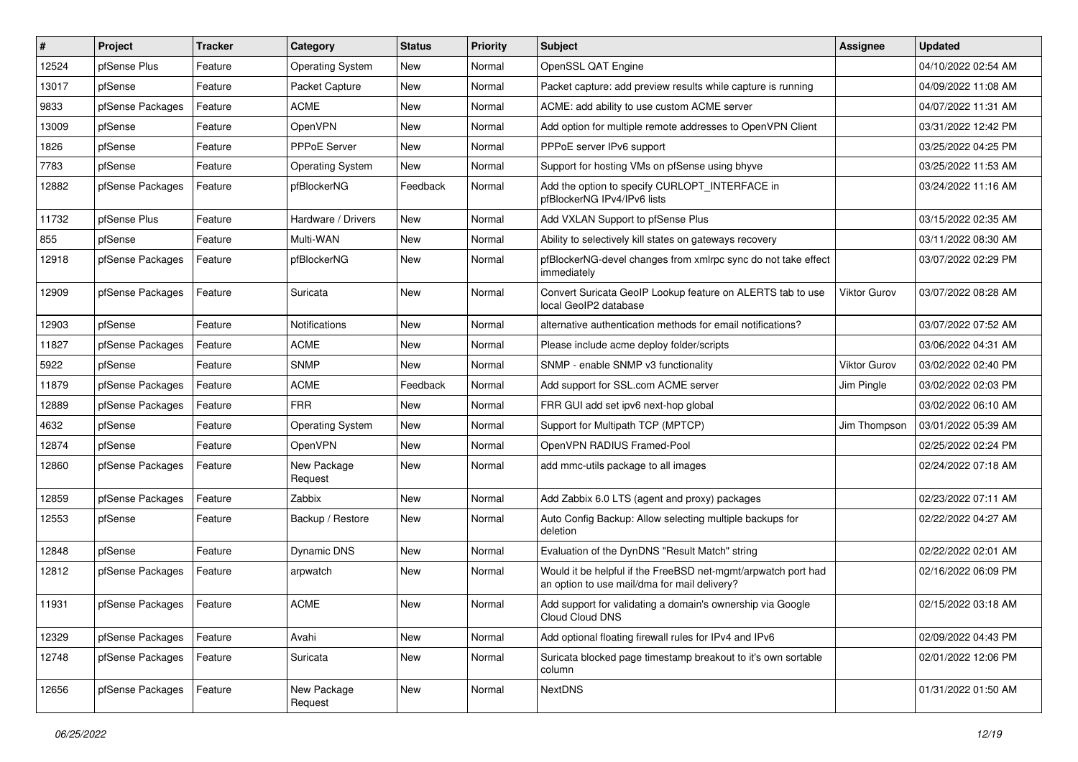| ∦     | Project          | <b>Tracker</b> | Category                | <b>Status</b> | <b>Priority</b> | Subject                                                                                                       | <b>Assignee</b> | <b>Updated</b>      |
|-------|------------------|----------------|-------------------------|---------------|-----------------|---------------------------------------------------------------------------------------------------------------|-----------------|---------------------|
| 12524 | pfSense Plus     | Feature        | <b>Operating System</b> | <b>New</b>    | Normal          | OpenSSL QAT Engine                                                                                            |                 | 04/10/2022 02:54 AM |
| 13017 | pfSense          | Feature        | Packet Capture          | New           | Normal          | Packet capture: add preview results while capture is running                                                  |                 | 04/09/2022 11:08 AM |
| 9833  | pfSense Packages | Feature        | <b>ACME</b>             | New           | Normal          | ACME: add ability to use custom ACME server                                                                   |                 | 04/07/2022 11:31 AM |
| 13009 | pfSense          | Feature        | OpenVPN                 | New           | Normal          | Add option for multiple remote addresses to OpenVPN Client                                                    |                 | 03/31/2022 12:42 PM |
| 1826  | pfSense          | Feature        | PPPoE Server            | <b>New</b>    | Normal          | PPPoE server IPv6 support                                                                                     |                 | 03/25/2022 04:25 PM |
| 7783  | pfSense          | Feature        | <b>Operating System</b> | <b>New</b>    | Normal          | Support for hosting VMs on pfSense using bhyve                                                                |                 | 03/25/2022 11:53 AM |
| 12882 | pfSense Packages | Feature        | pfBlockerNG             | Feedback      | Normal          | Add the option to specify CURLOPT_INTERFACE in<br>pfBlockerNG IPv4/IPv6 lists                                 |                 | 03/24/2022 11:16 AM |
| 11732 | pfSense Plus     | Feature        | Hardware / Drivers      | <b>New</b>    | Normal          | Add VXLAN Support to pfSense Plus                                                                             |                 | 03/15/2022 02:35 AM |
| 855   | pfSense          | Feature        | Multi-WAN               | New           | Normal          | Ability to selectively kill states on gateways recovery                                                       |                 | 03/11/2022 08:30 AM |
| 12918 | pfSense Packages | Feature        | pfBlockerNG             | New           | Normal          | pfBlockerNG-devel changes from xmlrpc sync do not take effect<br>immediately                                  |                 | 03/07/2022 02:29 PM |
| 12909 | pfSense Packages | Feature        | Suricata                | <b>New</b>    | Normal          | Convert Suricata GeoIP Lookup feature on ALERTS tab to use<br>local GeoIP2 database                           | Viktor Gurov    | 03/07/2022 08:28 AM |
| 12903 | pfSense          | Feature        | Notifications           | <b>New</b>    | Normal          | alternative authentication methods for email notifications?                                                   |                 | 03/07/2022 07:52 AM |
| 11827 | pfSense Packages | Feature        | <b>ACME</b>             | <b>New</b>    | Normal          | Please include acme deploy folder/scripts                                                                     |                 | 03/06/2022 04:31 AM |
| 5922  | pfSense          | Feature        | <b>SNMP</b>             | New           | Normal          | SNMP - enable SNMP v3 functionality                                                                           | Viktor Gurov    | 03/02/2022 02:40 PM |
| 11879 | pfSense Packages | Feature        | <b>ACME</b>             | Feedback      | Normal          | Add support for SSL.com ACME server                                                                           | Jim Pingle      | 03/02/2022 02:03 PM |
| 12889 | pfSense Packages | Feature        | <b>FRR</b>              | New           | Normal          | FRR GUI add set ipv6 next-hop global                                                                          |                 | 03/02/2022 06:10 AM |
| 4632  | pfSense          | Feature        | <b>Operating System</b> | New           | Normal          | Support for Multipath TCP (MPTCP)                                                                             | Jim Thompson    | 03/01/2022 05:39 AM |
| 12874 | pfSense          | Feature        | OpenVPN                 | <b>New</b>    | Normal          | OpenVPN RADIUS Framed-Pool                                                                                    |                 | 02/25/2022 02:24 PM |
| 12860 | pfSense Packages | Feature        | New Package<br>Request  | New           | Normal          | add mmc-utils package to all images                                                                           |                 | 02/24/2022 07:18 AM |
| 12859 | pfSense Packages | Feature        | Zabbix                  | New           | Normal          | Add Zabbix 6.0 LTS (agent and proxy) packages                                                                 |                 | 02/23/2022 07:11 AM |
| 12553 | pfSense          | Feature        | Backup / Restore        | New           | Normal          | Auto Config Backup: Allow selecting multiple backups for<br>deletion                                          |                 | 02/22/2022 04:27 AM |
| 12848 | pfSense          | Feature        | Dynamic DNS             | New           | Normal          | Evaluation of the DynDNS "Result Match" string                                                                |                 | 02/22/2022 02:01 AM |
| 12812 | pfSense Packages | Feature        | arpwatch                | New           | Normal          | Would it be helpful if the FreeBSD net-mgmt/arpwatch port had<br>an option to use mail/dma for mail delivery? |                 | 02/16/2022 06:09 PM |
| 11931 | pfSense Packages | Feature        | <b>ACME</b>             | New           | Normal          | Add support for validating a domain's ownership via Google<br>Cloud Cloud DNS                                 |                 | 02/15/2022 03:18 AM |
| 12329 | pfSense Packages | Feature        | Avahi                   | New           | Normal          | Add optional floating firewall rules for IPv4 and IPv6                                                        |                 | 02/09/2022 04:43 PM |
| 12748 | pfSense Packages | Feature        | Suricata                | New           | Normal          | Suricata blocked page timestamp breakout to it's own sortable<br>column                                       |                 | 02/01/2022 12:06 PM |
| 12656 | pfSense Packages | Feature        | New Package<br>Request  | New           | Normal          | <b>NextDNS</b>                                                                                                |                 | 01/31/2022 01:50 AM |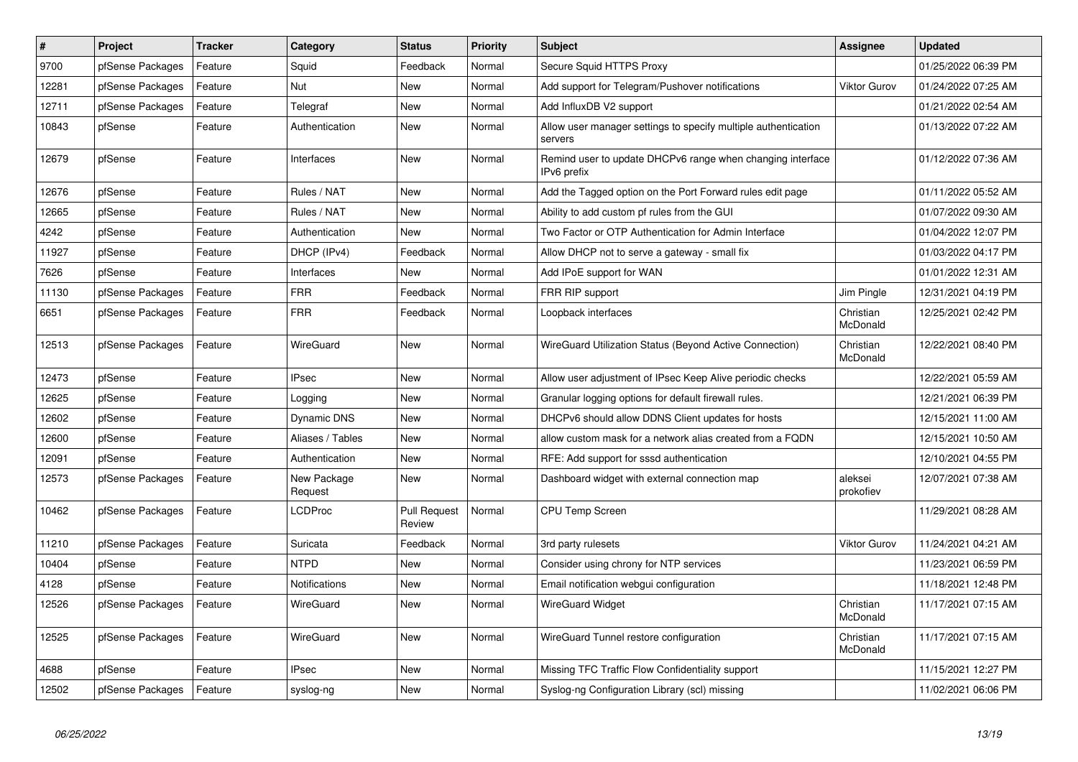| $\vert$ # | <b>Project</b>   | <b>Tracker</b> | Category               | <b>Status</b>                 | <b>Priority</b> | <b>Subject</b>                                                            | <b>Assignee</b>       | <b>Updated</b>      |
|-----------|------------------|----------------|------------------------|-------------------------------|-----------------|---------------------------------------------------------------------------|-----------------------|---------------------|
| 9700      | pfSense Packages | Feature        | Squid                  | Feedback                      | Normal          | Secure Squid HTTPS Proxy                                                  |                       | 01/25/2022 06:39 PM |
| 12281     | pfSense Packages | Feature        | Nut                    | New                           | Normal          | Add support for Telegram/Pushover notifications                           | Viktor Gurov          | 01/24/2022 07:25 AM |
| 12711     | pfSense Packages | Feature        | Telegraf               | New                           | Normal          | Add InfluxDB V2 support                                                   |                       | 01/21/2022 02:54 AM |
| 10843     | pfSense          | Feature        | Authentication         | <b>New</b>                    | Normal          | Allow user manager settings to specify multiple authentication<br>servers |                       | 01/13/2022 07:22 AM |
| 12679     | pfSense          | Feature        | Interfaces             | New                           | Normal          | Remind user to update DHCPv6 range when changing interface<br>IPv6 prefix |                       | 01/12/2022 07:36 AM |
| 12676     | pfSense          | Feature        | Rules / NAT            | <b>New</b>                    | Normal          | Add the Tagged option on the Port Forward rules edit page                 |                       | 01/11/2022 05:52 AM |
| 12665     | pfSense          | Feature        | Rules / NAT            | New                           | Normal          | Ability to add custom pf rules from the GUI                               |                       | 01/07/2022 09:30 AM |
| 4242      | pfSense          | Feature        | Authentication         | <b>New</b>                    | Normal          | Two Factor or OTP Authentication for Admin Interface                      |                       | 01/04/2022 12:07 PM |
| 11927     | pfSense          | Feature        | DHCP (IPv4)            | Feedback                      | Normal          | Allow DHCP not to serve a gateway - small fix                             |                       | 01/03/2022 04:17 PM |
| 7626      | pfSense          | Feature        | Interfaces             | <b>New</b>                    | Normal          | Add IPoE support for WAN                                                  |                       | 01/01/2022 12:31 AM |
| 11130     | pfSense Packages | Feature        | <b>FRR</b>             | Feedback                      | Normal          | FRR RIP support                                                           | Jim Pingle            | 12/31/2021 04:19 PM |
| 6651      | pfSense Packages | Feature        | <b>FRR</b>             | Feedback                      | Normal          | Loopback interfaces                                                       | Christian<br>McDonald | 12/25/2021 02:42 PM |
| 12513     | pfSense Packages | Feature        | <b>WireGuard</b>       | New                           | Normal          | WireGuard Utilization Status (Beyond Active Connection)                   | Christian<br>McDonald | 12/22/2021 08:40 PM |
| 12473     | pfSense          | Feature        | <b>IPsec</b>           | New                           | Normal          | Allow user adjustment of IPsec Keep Alive periodic checks                 |                       | 12/22/2021 05:59 AM |
| 12625     | pfSense          | Feature        | Logging                | <b>New</b>                    | Normal          | Granular logging options for default firewall rules.                      |                       | 12/21/2021 06:39 PM |
| 12602     | pfSense          | Feature        | <b>Dynamic DNS</b>     | New                           | Normal          | DHCPv6 should allow DDNS Client updates for hosts                         |                       | 12/15/2021 11:00 AM |
| 12600     | pfSense          | Feature        | Aliases / Tables       | New                           | Normal          | allow custom mask for a network alias created from a FQDN                 |                       | 12/15/2021 10:50 AM |
| 12091     | pfSense          | Feature        | Authentication         | New                           | Normal          | RFE: Add support for sssd authentication                                  |                       | 12/10/2021 04:55 PM |
| 12573     | pfSense Packages | Feature        | New Package<br>Request | New                           | Normal          | Dashboard widget with external connection map                             | aleksei<br>prokofiev  | 12/07/2021 07:38 AM |
| 10462     | pfSense Packages | Feature        | <b>LCDProc</b>         | <b>Pull Request</b><br>Review | Normal          | <b>CPU Temp Screen</b>                                                    |                       | 11/29/2021 08:28 AM |
| 11210     | pfSense Packages | Feature        | Suricata               | Feedback                      | Normal          | 3rd party rulesets                                                        | Viktor Gurov          | 11/24/2021 04:21 AM |
| 10404     | pfSense          | Feature        | <b>NTPD</b>            | New                           | Normal          | Consider using chrony for NTP services                                    |                       | 11/23/2021 06:59 PM |
| 4128      | pfSense          | Feature        | <b>Notifications</b>   | <b>New</b>                    | Normal          | Email notification webgui configuration                                   |                       | 11/18/2021 12:48 PM |
| 12526     | pfSense Packages | Feature        | <b>WireGuard</b>       | New                           | Normal          | WireGuard Widget                                                          | Christian<br>McDonald | 11/17/2021 07:15 AM |
| 12525     | pfSense Packages | Feature        | WireGuard              | <b>New</b>                    | Normal          | WireGuard Tunnel restore configuration                                    | Christian<br>McDonald | 11/17/2021 07:15 AM |
| 4688      | pfSense          | Feature        | <b>IPsec</b>           | New                           | Normal          | Missing TFC Traffic Flow Confidentiality support                          |                       | 11/15/2021 12:27 PM |
| 12502     | pfSense Packages | Feature        | syslog-ng              | <b>New</b>                    | Normal          | Syslog-ng Configuration Library (scl) missing                             |                       | 11/02/2021 06:06 PM |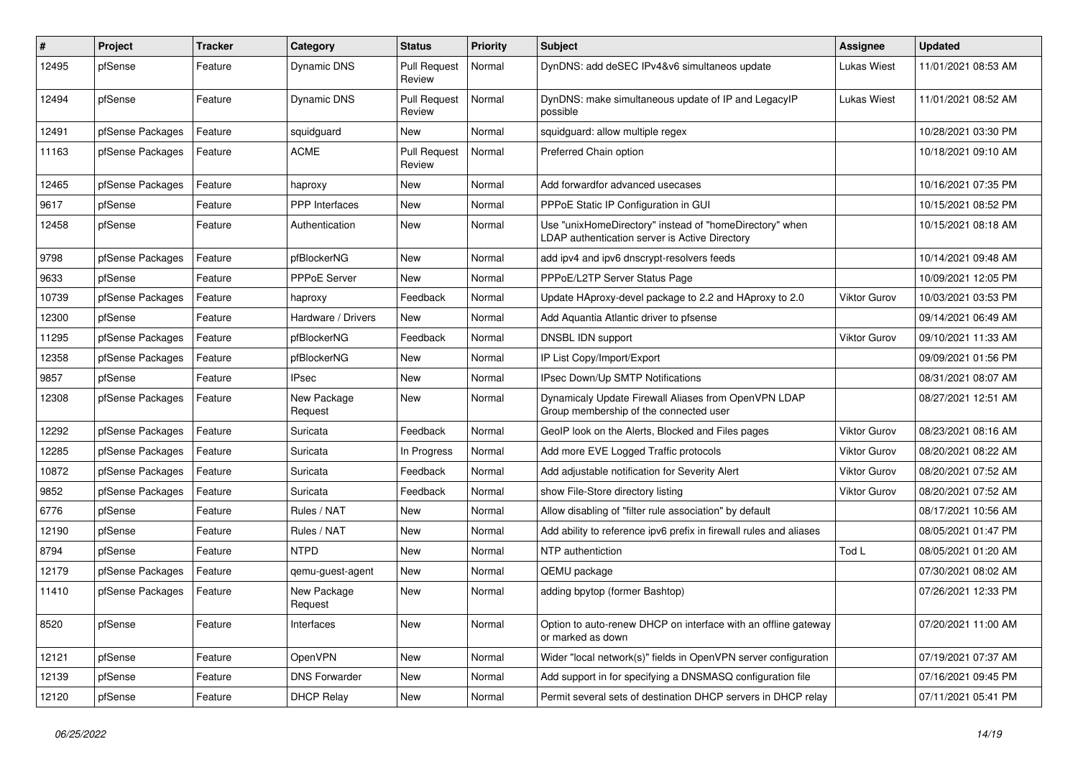| #     | Project          | <b>Tracker</b> | Category               | <b>Status</b>                 | <b>Priority</b> | <b>Subject</b>                                                                                            | Assignee            | <b>Updated</b>      |
|-------|------------------|----------------|------------------------|-------------------------------|-----------------|-----------------------------------------------------------------------------------------------------------|---------------------|---------------------|
| 12495 | pfSense          | Feature        | <b>Dynamic DNS</b>     | <b>Pull Request</b><br>Review | Normal          | DynDNS: add deSEC IPv4&v6 simultaneos update                                                              | <b>Lukas Wiest</b>  | 11/01/2021 08:53 AM |
| 12494 | pfSense          | Feature        | Dynamic DNS            | <b>Pull Request</b><br>Review | Normal          | DynDNS: make simultaneous update of IP and LegacyIP<br>possible                                           | <b>Lukas Wiest</b>  | 11/01/2021 08:52 AM |
| 12491 | pfSense Packages | Feature        | squidguard             | <b>New</b>                    | Normal          | squidguard: allow multiple regex                                                                          |                     | 10/28/2021 03:30 PM |
| 11163 | pfSense Packages | Feature        | <b>ACME</b>            | <b>Pull Request</b><br>Review | Normal          | Preferred Chain option                                                                                    |                     | 10/18/2021 09:10 AM |
| 12465 | pfSense Packages | Feature        | haproxy                | New                           | Normal          | Add forwardfor advanced usecases                                                                          |                     | 10/16/2021 07:35 PM |
| 9617  | pfSense          | Feature        | PPP Interfaces         | <b>New</b>                    | Normal          | PPPoE Static IP Configuration in GUI                                                                      |                     | 10/15/2021 08:52 PM |
| 12458 | pfSense          | Feature        | Authentication         | <b>New</b>                    | Normal          | Use "unixHomeDirectory" instead of "homeDirectory" when<br>LDAP authentication server is Active Directory |                     | 10/15/2021 08:18 AM |
| 9798  | pfSense Packages | Feature        | pfBlockerNG            | <b>New</b>                    | Normal          | add ipv4 and ipv6 dnscrypt-resolvers feeds                                                                |                     | 10/14/2021 09:48 AM |
| 9633  | pfSense          | Feature        | PPPoE Server           | <b>New</b>                    | Normal          | PPPoE/L2TP Server Status Page                                                                             |                     | 10/09/2021 12:05 PM |
| 10739 | pfSense Packages | Feature        | haproxy                | Feedback                      | Normal          | Update HAproxy-devel package to 2.2 and HAproxy to 2.0                                                    | Viktor Gurov        | 10/03/2021 03:53 PM |
| 12300 | pfSense          | Feature        | Hardware / Drivers     | New                           | Normal          | Add Aquantia Atlantic driver to pfsense                                                                   |                     | 09/14/2021 06:49 AM |
| 11295 | pfSense Packages | Feature        | pfBlockerNG            | Feedback                      | Normal          | DNSBL IDN support                                                                                         | <b>Viktor Gurov</b> | 09/10/2021 11:33 AM |
| 12358 | pfSense Packages | Feature        | pfBlockerNG            | New                           | Normal          | IP List Copy/Import/Export                                                                                |                     | 09/09/2021 01:56 PM |
| 9857  | pfSense          | Feature        | <b>IPsec</b>           | <b>New</b>                    | Normal          | IPsec Down/Up SMTP Notifications                                                                          |                     | 08/31/2021 08:07 AM |
| 12308 | pfSense Packages | Feature        | New Package<br>Request | New                           | Normal          | Dynamicaly Update Firewall Aliases from OpenVPN LDAP<br>Group membership of the connected user            |                     | 08/27/2021 12:51 AM |
| 12292 | pfSense Packages | Feature        | Suricata               | Feedback                      | Normal          | GeoIP look on the Alerts, Blocked and Files pages                                                         | Viktor Gurov        | 08/23/2021 08:16 AM |
| 12285 | pfSense Packages | Feature        | Suricata               | In Progress                   | Normal          | Add more EVE Logged Traffic protocols                                                                     | Viktor Gurov        | 08/20/2021 08:22 AM |
| 10872 | pfSense Packages | Feature        | Suricata               | Feedback                      | Normal          | Add adjustable notification for Severity Alert                                                            | <b>Viktor Gurov</b> | 08/20/2021 07:52 AM |
| 9852  | pfSense Packages | Feature        | Suricata               | Feedback                      | Normal          | show File-Store directory listing                                                                         | Viktor Gurov        | 08/20/2021 07:52 AM |
| 6776  | pfSense          | Feature        | Rules / NAT            | New                           | Normal          | Allow disabling of "filter rule association" by default                                                   |                     | 08/17/2021 10:56 AM |
| 12190 | pfSense          | Feature        | Rules / NAT            | <b>New</b>                    | Normal          | Add ability to reference ipv6 prefix in firewall rules and aliases                                        |                     | 08/05/2021 01:47 PM |
| 8794  | pfSense          | Feature        | <b>NTPD</b>            | New                           | Normal          | NTP authentiction                                                                                         | Tod L               | 08/05/2021 01:20 AM |
| 12179 | pfSense Packages | Feature        | qemu-guest-agent       | New                           | Normal          | QEMU package                                                                                              |                     | 07/30/2021 08:02 AM |
| 11410 | pfSense Packages | Feature        | New Package<br>Request | <b>New</b>                    | Normal          | adding bpytop (former Bashtop)                                                                            |                     | 07/26/2021 12:33 PM |
| 8520  | pfSense          | Feature        | Interfaces             | New                           | Normal          | Option to auto-renew DHCP on interface with an offline gateway<br>or marked as down                       |                     | 07/20/2021 11:00 AM |
| 12121 | pfSense          | Feature        | OpenVPN                | New                           | Normal          | Wider "local network(s)" fields in OpenVPN server configuration                                           |                     | 07/19/2021 07:37 AM |
| 12139 | pfSense          | Feature        | <b>DNS Forwarder</b>   | New                           | Normal          | Add support in for specifying a DNSMASQ configuration file                                                |                     | 07/16/2021 09:45 PM |
| 12120 | pfSense          | Feature        | <b>DHCP Relay</b>      | New                           | Normal          | Permit several sets of destination DHCP servers in DHCP relay                                             |                     | 07/11/2021 05:41 PM |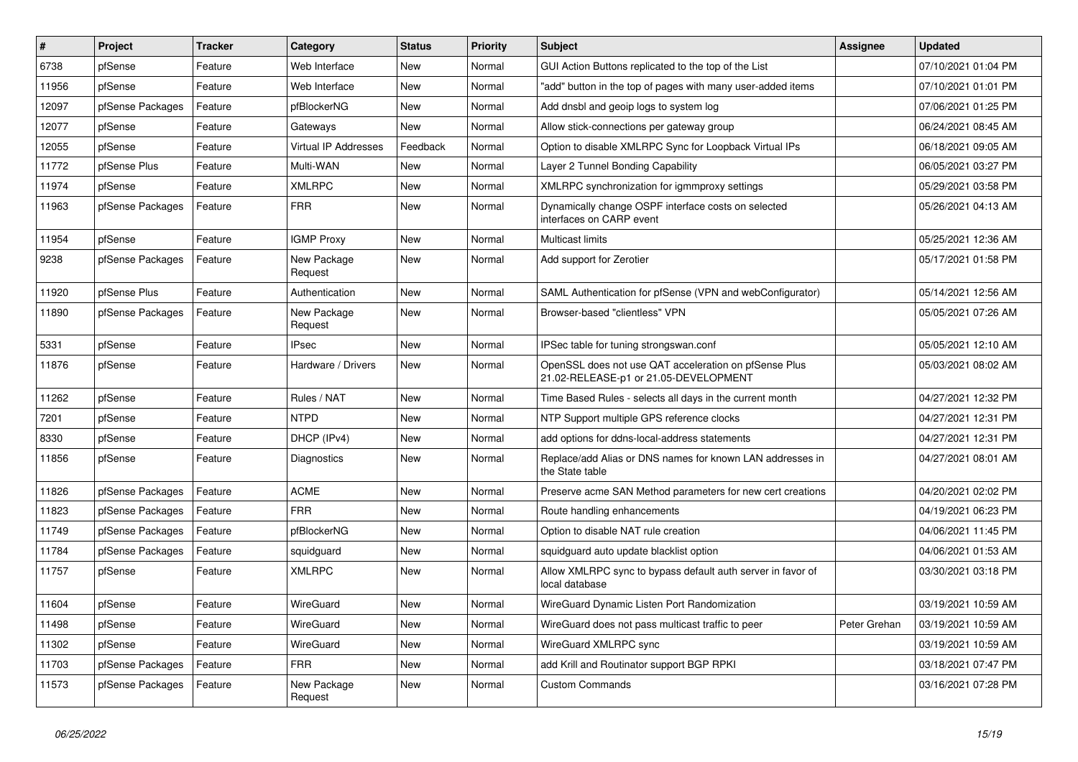| $\sharp$ | Project          | <b>Tracker</b> | Category                    | <b>Status</b> | <b>Priority</b> | <b>Subject</b>                                                                                 | <b>Assignee</b> | <b>Updated</b>      |
|----------|------------------|----------------|-----------------------------|---------------|-----------------|------------------------------------------------------------------------------------------------|-----------------|---------------------|
| 6738     | pfSense          | Feature        | Web Interface               | <b>New</b>    | Normal          | GUI Action Buttons replicated to the top of the List                                           |                 | 07/10/2021 01:04 PM |
| 11956    | pfSense          | Feature        | Web Interface               | <b>New</b>    | Normal          | "add" button in the top of pages with many user-added items                                    |                 | 07/10/2021 01:01 PM |
| 12097    | pfSense Packages | Feature        | pfBlockerNG                 | New           | Normal          | Add dnsbl and geoip logs to system log                                                         |                 | 07/06/2021 01:25 PM |
| 12077    | pfSense          | Feature        | Gateways                    | <b>New</b>    | Normal          | Allow stick-connections per gateway group                                                      |                 | 06/24/2021 08:45 AM |
| 12055    | pfSense          | Feature        | <b>Virtual IP Addresses</b> | Feedback      | Normal          | Option to disable XMLRPC Sync for Loopback Virtual IPs                                         |                 | 06/18/2021 09:05 AM |
| 11772    | pfSense Plus     | Feature        | Multi-WAN                   | New           | Normal          | Layer 2 Tunnel Bonding Capability                                                              |                 | 06/05/2021 03:27 PM |
| 11974    | pfSense          | Feature        | <b>XMLRPC</b>               | <b>New</b>    | Normal          | XMLRPC synchronization for igmmproxy settings                                                  |                 | 05/29/2021 03:58 PM |
| 11963    | pfSense Packages | Feature        | <b>FRR</b>                  | <b>New</b>    | Normal          | Dynamically change OSPF interface costs on selected<br>interfaces on CARP event                |                 | 05/26/2021 04:13 AM |
| 11954    | pfSense          | Feature        | <b>IGMP Proxy</b>           | <b>New</b>    | Normal          | <b>Multicast limits</b>                                                                        |                 | 05/25/2021 12:36 AM |
| 9238     | pfSense Packages | Feature        | New Package<br>Request      | <b>New</b>    | Normal          | Add support for Zerotier                                                                       |                 | 05/17/2021 01:58 PM |
| 11920    | pfSense Plus     | Feature        | Authentication              | <b>New</b>    | Normal          | SAML Authentication for pfSense (VPN and webConfigurator)                                      |                 | 05/14/2021 12:56 AM |
| 11890    | pfSense Packages | Feature        | New Package<br>Request      | <b>New</b>    | Normal          | Browser-based "clientless" VPN                                                                 |                 | 05/05/2021 07:26 AM |
| 5331     | pfSense          | Feature        | <b>IPsec</b>                | New           | Normal          | IPSec table for tuning strongswan.conf                                                         |                 | 05/05/2021 12:10 AM |
| 11876    | pfSense          | Feature        | Hardware / Drivers          | New           | Normal          | OpenSSL does not use QAT acceleration on pfSense Plus<br>21.02-RELEASE-p1 or 21.05-DEVELOPMENT |                 | 05/03/2021 08:02 AM |
| 11262    | pfSense          | Feature        | Rules / NAT                 | <b>New</b>    | Normal          | Time Based Rules - selects all days in the current month                                       |                 | 04/27/2021 12:32 PM |
| 7201     | pfSense          | Feature        | <b>NTPD</b>                 | <b>New</b>    | Normal          | NTP Support multiple GPS reference clocks                                                      |                 | 04/27/2021 12:31 PM |
| 8330     | pfSense          | Feature        | DHCP (IPv4)                 | <b>New</b>    | Normal          | add options for ddns-local-address statements                                                  |                 | 04/27/2021 12:31 PM |
| 11856    | pfSense          | Feature        | Diagnostics                 | New           | Normal          | Replace/add Alias or DNS names for known LAN addresses in<br>the State table                   |                 | 04/27/2021 08:01 AM |
| 11826    | pfSense Packages | Feature        | <b>ACME</b>                 | <b>New</b>    | Normal          | Preserve acme SAN Method parameters for new cert creations                                     |                 | 04/20/2021 02:02 PM |
| 11823    | pfSense Packages | Feature        | <b>FRR</b>                  | New           | Normal          | Route handling enhancements                                                                    |                 | 04/19/2021 06:23 PM |
| 11749    | pfSense Packages | Feature        | pfBlockerNG                 | New           | Normal          | Option to disable NAT rule creation                                                            |                 | 04/06/2021 11:45 PM |
| 11784    | pfSense Packages | Feature        | squidguard                  | New           | Normal          | squidguard auto update blacklist option                                                        |                 | 04/06/2021 01:53 AM |
| 11757    | pfSense          | Feature        | <b>XMLRPC</b>               | <b>New</b>    | Normal          | Allow XMLRPC sync to bypass default auth server in favor of<br>local database                  |                 | 03/30/2021 03:18 PM |
| 11604    | pfSense          | Feature        | WireGuard                   | New           | Normal          | WireGuard Dynamic Listen Port Randomization                                                    |                 | 03/19/2021 10:59 AM |
| 11498    | pfSense          | Feature        | WireGuard                   | New           | Normal          | WireGuard does not pass multicast traffic to peer                                              | Peter Grehan    | 03/19/2021 10:59 AM |
| 11302    | pfSense          | Feature        | WireGuard                   | New           | Normal          | WireGuard XMLRPC sync                                                                          |                 | 03/19/2021 10:59 AM |
| 11703    | pfSense Packages | Feature        | <b>FRR</b>                  | New           | Normal          | add Krill and Routinator support BGP RPKI                                                      |                 | 03/18/2021 07:47 PM |
| 11573    | pfSense Packages | Feature        | New Package<br>Request      | New           | Normal          | <b>Custom Commands</b>                                                                         |                 | 03/16/2021 07:28 PM |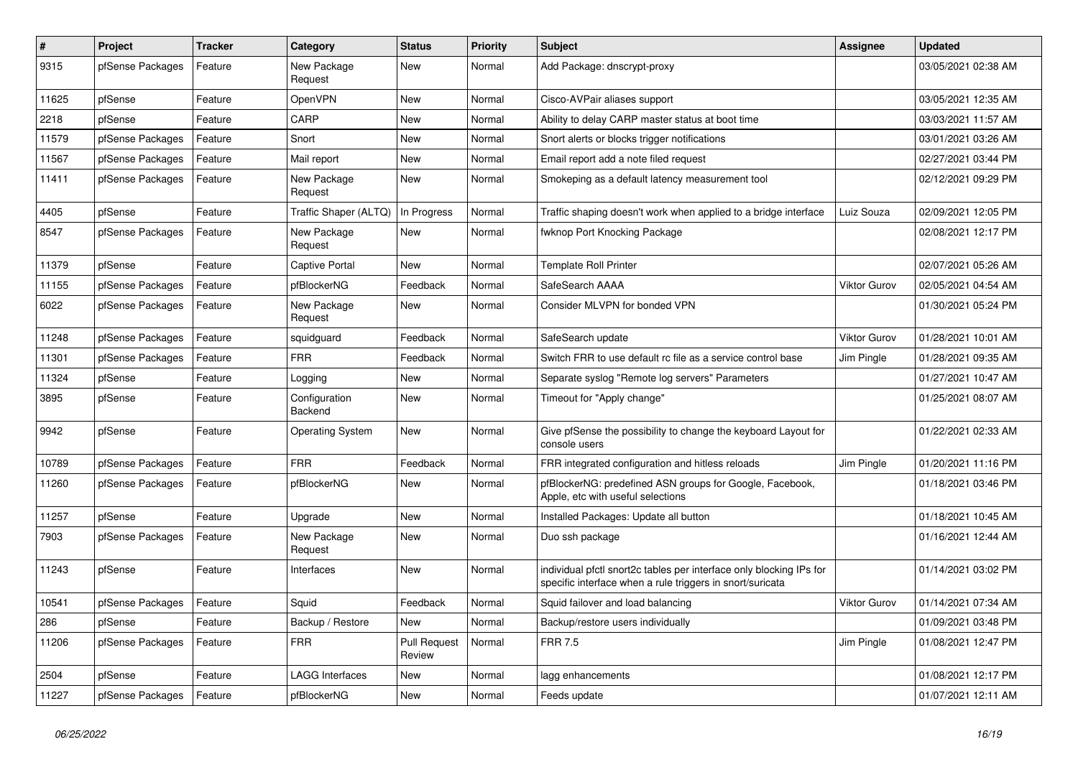| $\vert$ # | Project          | <b>Tracker</b> | Category                 | <b>Status</b>                 | <b>Priority</b> | <b>Subject</b>                                                                                                                   | <b>Assignee</b>     | <b>Updated</b>      |
|-----------|------------------|----------------|--------------------------|-------------------------------|-----------------|----------------------------------------------------------------------------------------------------------------------------------|---------------------|---------------------|
| 9315      | pfSense Packages | Feature        | New Package<br>Request   | <b>New</b>                    | Normal          | Add Package: dnscrypt-proxy                                                                                                      |                     | 03/05/2021 02:38 AM |
| 11625     | pfSense          | Feature        | OpenVPN                  | <b>New</b>                    | Normal          | Cisco-AVPair aliases support                                                                                                     |                     | 03/05/2021 12:35 AM |
| 2218      | pfSense          | Feature        | CARP                     | <b>New</b>                    | Normal          | Ability to delay CARP master status at boot time                                                                                 |                     | 03/03/2021 11:57 AM |
| 11579     | pfSense Packages | Feature        | Snort                    | New                           | Normal          | Snort alerts or blocks trigger notifications                                                                                     |                     | 03/01/2021 03:26 AM |
| 11567     | pfSense Packages | Feature        | Mail report              | <b>New</b>                    | Normal          | Email report add a note filed request                                                                                            |                     | 02/27/2021 03:44 PM |
| 11411     | pfSense Packages | Feature        | New Package<br>Request   | <b>New</b>                    | Normal          | Smokeping as a default latency measurement tool                                                                                  |                     | 02/12/2021 09:29 PM |
| 4405      | pfSense          | Feature        | Traffic Shaper (ALTQ)    | In Progress                   | Normal          | Traffic shaping doesn't work when applied to a bridge interface                                                                  | Luiz Souza          | 02/09/2021 12:05 PM |
| 8547      | pfSense Packages | Feature        | New Package<br>Request   | New                           | Normal          | fwknop Port Knocking Package                                                                                                     |                     | 02/08/2021 12:17 PM |
| 11379     | pfSense          | Feature        | <b>Captive Portal</b>    | New                           | Normal          | <b>Template Roll Printer</b>                                                                                                     |                     | 02/07/2021 05:26 AM |
| 11155     | pfSense Packages | Feature        | pfBlockerNG              | Feedback                      | Normal          | SafeSearch AAAA                                                                                                                  | Viktor Gurov        | 02/05/2021 04:54 AM |
| 6022      | pfSense Packages | Feature        | New Package<br>Request   | <b>New</b>                    | Normal          | Consider MLVPN for bonded VPN                                                                                                    |                     | 01/30/2021 05:24 PM |
| 11248     | pfSense Packages | Feature        | squidguard               | Feedback                      | Normal          | SafeSearch update                                                                                                                | <b>Viktor Gurov</b> | 01/28/2021 10:01 AM |
| 11301     | pfSense Packages | Feature        | <b>FRR</b>               | Feedback                      | Normal          | Switch FRR to use default rc file as a service control base                                                                      | Jim Pingle          | 01/28/2021 09:35 AM |
| 11324     | pfSense          | Feature        | Logging                  | <b>New</b>                    | Normal          | Separate syslog "Remote log servers" Parameters                                                                                  |                     | 01/27/2021 10:47 AM |
| 3895      | pfSense          | Feature        | Configuration<br>Backend | <b>New</b>                    | Normal          | Timeout for "Apply change"                                                                                                       |                     | 01/25/2021 08:07 AM |
| 9942      | pfSense          | Feature        | <b>Operating System</b>  | New                           | Normal          | Give pfSense the possibility to change the keyboard Layout for<br>console users                                                  |                     | 01/22/2021 02:33 AM |
| 10789     | pfSense Packages | Feature        | <b>FRR</b>               | Feedback                      | Normal          | FRR integrated configuration and hitless reloads                                                                                 | Jim Pingle          | 01/20/2021 11:16 PM |
| 11260     | pfSense Packages | Feature        | pfBlockerNG              | New                           | Normal          | pfBlockerNG: predefined ASN groups for Google, Facebook,<br>Apple, etc with useful selections                                    |                     | 01/18/2021 03:46 PM |
| 11257     | pfSense          | Feature        | Upgrade                  | New                           | Normal          | Installed Packages: Update all button                                                                                            |                     | 01/18/2021 10:45 AM |
| 7903      | pfSense Packages | Feature        | New Package<br>Request   | New                           | Normal          | Duo ssh package                                                                                                                  |                     | 01/16/2021 12:44 AM |
| 11243     | pfSense          | Feature        | Interfaces               | <b>New</b>                    | Normal          | individual pfctl snort2c tables per interface only blocking IPs for<br>specific interface when a rule triggers in snort/suricata |                     | 01/14/2021 03:02 PM |
| 10541     | pfSense Packages | Feature        | Squid                    | Feedback                      | Normal          | Squid failover and load balancing                                                                                                | <b>Viktor Gurov</b> | 01/14/2021 07:34 AM |
| 286       | pfSense          | Feature        | Backup / Restore         | <b>New</b>                    | Normal          | Backup/restore users individually                                                                                                |                     | 01/09/2021 03:48 PM |
| 11206     | pfSense Packages | Feature        | <b>FRR</b>               | <b>Pull Request</b><br>Review | Normal          | <b>FRR 7.5</b>                                                                                                                   | Jim Pingle          | 01/08/2021 12:47 PM |
| 2504      | pfSense          | Feature        | <b>LAGG Interfaces</b>   | New                           | Normal          | lagg enhancements                                                                                                                |                     | 01/08/2021 12:17 PM |
| 11227     | pfSense Packages | Feature        | pfBlockerNG              | New                           | Normal          | Feeds update                                                                                                                     |                     | 01/07/2021 12:11 AM |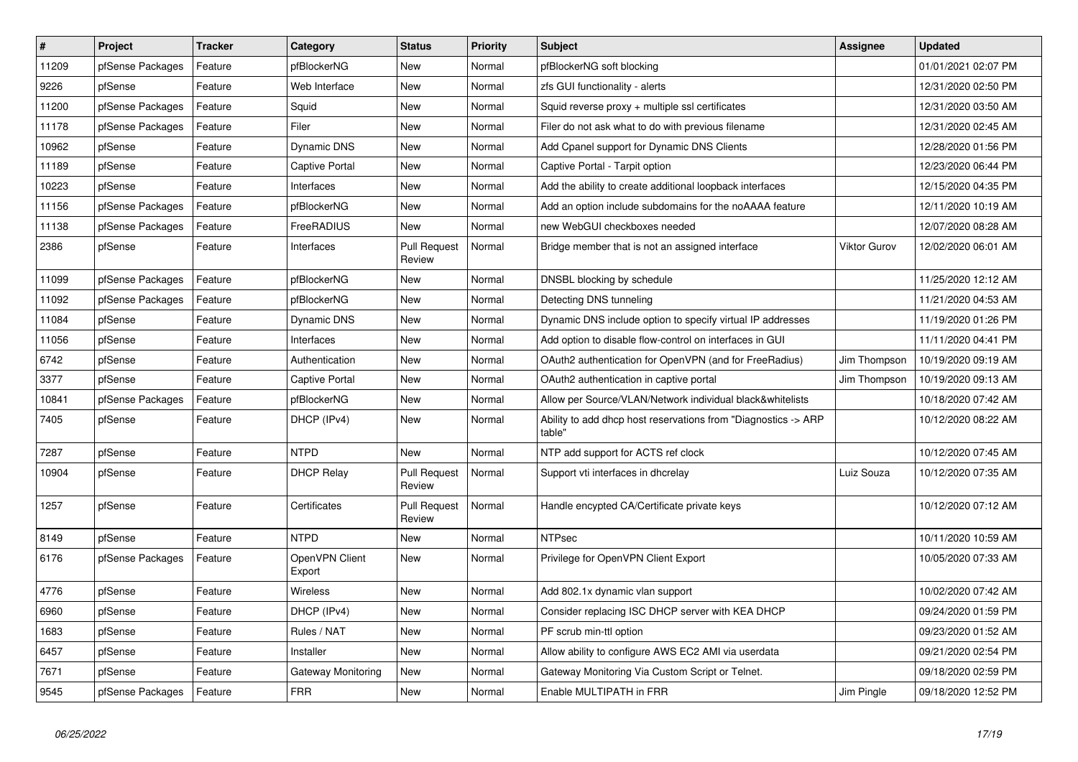| $\pmb{\#}$ | Project          | <b>Tracker</b> | Category                  | <b>Status</b>                 | <b>Priority</b> | <b>Subject</b>                                                           | <b>Assignee</b> | <b>Updated</b>      |
|------------|------------------|----------------|---------------------------|-------------------------------|-----------------|--------------------------------------------------------------------------|-----------------|---------------------|
| 11209      | pfSense Packages | Feature        | pfBlockerNG               | <b>New</b>                    | Normal          | pfBlockerNG soft blocking                                                |                 | 01/01/2021 02:07 PM |
| 9226       | pfSense          | Feature        | Web Interface             | <b>New</b>                    | Normal          | zfs GUI functionality - alerts                                           |                 | 12/31/2020 02:50 PM |
| 11200      | pfSense Packages | Feature        | Squid                     | New                           | Normal          | Squid reverse proxy + multiple ssl certificates                          |                 | 12/31/2020 03:50 AM |
| 11178      | pfSense Packages | Feature        | Filer                     | <b>New</b>                    | Normal          | Filer do not ask what to do with previous filename                       |                 | 12/31/2020 02:45 AM |
| 10962      | pfSense          | Feature        | <b>Dynamic DNS</b>        | <b>New</b>                    | Normal          | Add Cpanel support for Dynamic DNS Clients                               |                 | 12/28/2020 01:56 PM |
| 11189      | pfSense          | Feature        | <b>Captive Portal</b>     | <b>New</b>                    | Normal          | Captive Portal - Tarpit option                                           |                 | 12/23/2020 06:44 PM |
| 10223      | pfSense          | Feature        | Interfaces                | <b>New</b>                    | Normal          | Add the ability to create additional loopback interfaces                 |                 | 12/15/2020 04:35 PM |
| 11156      | pfSense Packages | Feature        | pfBlockerNG               | New                           | Normal          | Add an option include subdomains for the noAAAA feature                  |                 | 12/11/2020 10:19 AM |
| 11138      | pfSense Packages | Feature        | FreeRADIUS                | <b>New</b>                    | Normal          | new WebGUI checkboxes needed                                             |                 | 12/07/2020 08:28 AM |
| 2386       | pfSense          | Feature        | Interfaces                | <b>Pull Request</b><br>Review | Normal          | Bridge member that is not an assigned interface                          | Viktor Gurov    | 12/02/2020 06:01 AM |
| 11099      | pfSense Packages | Feature        | pfBlockerNG               | <b>New</b>                    | Normal          | DNSBL blocking by schedule                                               |                 | 11/25/2020 12:12 AM |
| 11092      | pfSense Packages | Feature        | pfBlockerNG               | <b>New</b>                    | Normal          | Detecting DNS tunneling                                                  |                 | 11/21/2020 04:53 AM |
| 11084      | pfSense          | Feature        | <b>Dynamic DNS</b>        | <b>New</b>                    | Normal          | Dynamic DNS include option to specify virtual IP addresses               |                 | 11/19/2020 01:26 PM |
| 11056      | pfSense          | Feature        | Interfaces                | <b>New</b>                    | Normal          | Add option to disable flow-control on interfaces in GUI                  |                 | 11/11/2020 04:41 PM |
| 6742       | pfSense          | Feature        | Authentication            | <b>New</b>                    | Normal          | OAuth2 authentication for OpenVPN (and for FreeRadius)                   | Jim Thompson    | 10/19/2020 09:19 AM |
| 3377       | pfSense          | Feature        | <b>Captive Portal</b>     | <b>New</b>                    | Normal          | OAuth2 authentication in captive portal                                  | Jim Thompson    | 10/19/2020 09:13 AM |
| 10841      | pfSense Packages | Feature        | pfBlockerNG               | <b>New</b>                    | Normal          | Allow per Source/VLAN/Network individual black&whitelists                |                 | 10/18/2020 07:42 AM |
| 7405       | pfSense          | Feature        | DHCP (IPv4)               | New                           | Normal          | Ability to add dhcp host reservations from "Diagnostics -> ARP<br>table" |                 | 10/12/2020 08:22 AM |
| 7287       | pfSense          | Feature        | <b>NTPD</b>               | <b>New</b>                    | Normal          | NTP add support for ACTS ref clock                                       |                 | 10/12/2020 07:45 AM |
| 10904      | pfSense          | Feature        | <b>DHCP Relay</b>         | <b>Pull Request</b><br>Review | Normal          | Support vti interfaces in dhcrelay                                       | Luiz Souza      | 10/12/2020 07:35 AM |
| 1257       | pfSense          | Feature        | Certificates              | <b>Pull Request</b><br>Review | Normal          | Handle encypted CA/Certificate private keys                              |                 | 10/12/2020 07:12 AM |
| 8149       | pfSense          | Feature        | <b>NTPD</b>               | New                           | Normal          | <b>NTPsec</b>                                                            |                 | 10/11/2020 10:59 AM |
| 6176       | pfSense Packages | Feature        | OpenVPN Client<br>Export  | New                           | Normal          | Privilege for OpenVPN Client Export                                      |                 | 10/05/2020 07:33 AM |
| 4776       | pfSense          | Feature        | <b>Wireless</b>           | New                           | Normal          | Add 802.1x dynamic vlan support                                          |                 | 10/02/2020 07:42 AM |
| 6960       | pfSense          | Feature        | DHCP (IPv4)               | New                           | Normal          | Consider replacing ISC DHCP server with KEA DHCP                         |                 | 09/24/2020 01:59 PM |
| 1683       | pfSense          | Feature        | Rules / NAT               | New                           | Normal          | PF scrub min-ttl option                                                  |                 | 09/23/2020 01:52 AM |
| 6457       | pfSense          | Feature        | Installer                 | New                           | Normal          | Allow ability to configure AWS EC2 AMI via userdata                      |                 | 09/21/2020 02:54 PM |
| 7671       | pfSense          | Feature        | <b>Gateway Monitoring</b> | <b>New</b>                    | Normal          | Gateway Monitoring Via Custom Script or Telnet.                          |                 | 09/18/2020 02:59 PM |
| 9545       | pfSense Packages | Feature        | <b>FRR</b>                | New                           | Normal          | Enable MULTIPATH in FRR                                                  | Jim Pingle      | 09/18/2020 12:52 PM |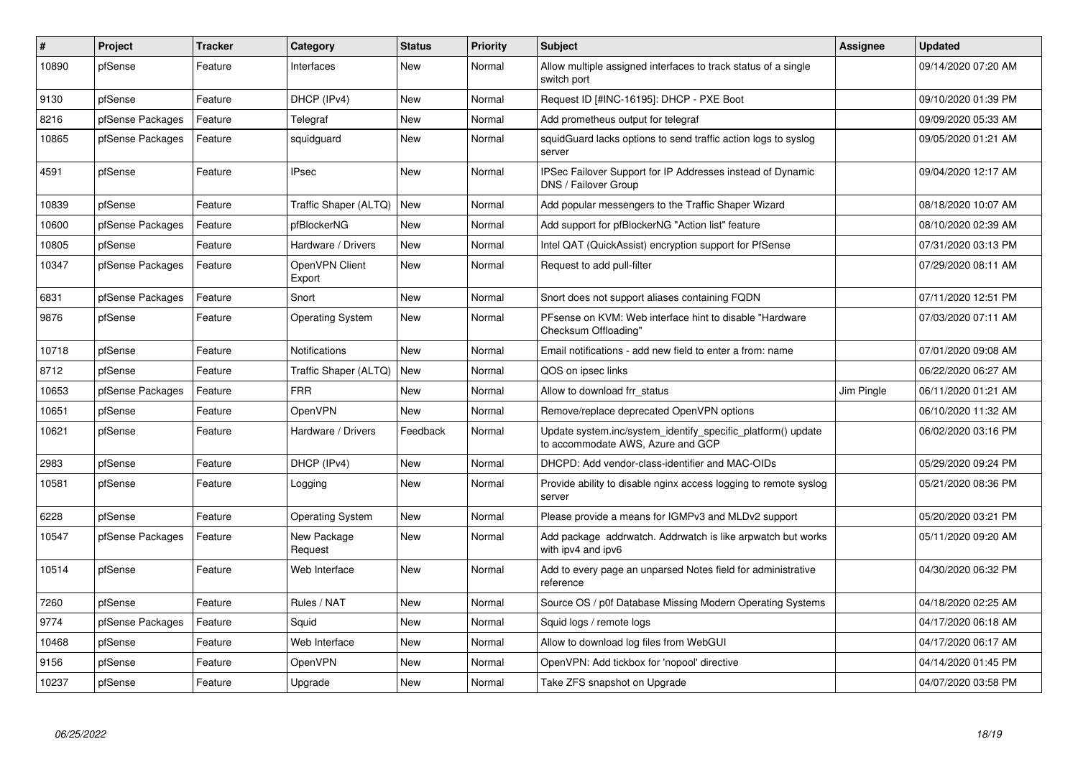| #     | <b>Project</b>   | <b>Tracker</b> | Category                 | <b>Status</b> | <b>Priority</b> | <b>Subject</b>                                                                                    | Assignee   | <b>Updated</b>      |
|-------|------------------|----------------|--------------------------|---------------|-----------------|---------------------------------------------------------------------------------------------------|------------|---------------------|
| 10890 | pfSense          | Feature        | Interfaces               | New           | Normal          | Allow multiple assigned interfaces to track status of a single<br>switch port                     |            | 09/14/2020 07:20 AM |
| 9130  | pfSense          | Feature        | DHCP (IPv4)              | New           | Normal          | Request ID [#INC-16195]: DHCP - PXE Boot                                                          |            | 09/10/2020 01:39 PM |
| 8216  | pfSense Packages | Feature        | Telegraf                 | <b>New</b>    | Normal          | Add prometheus output for telegraf                                                                |            | 09/09/2020 05:33 AM |
| 10865 | pfSense Packages | Feature        | squidguard               | <b>New</b>    | Normal          | squidGuard lacks options to send traffic action logs to syslog<br>server                          |            | 09/05/2020 01:21 AM |
| 4591  | pfSense          | Feature        | <b>IPsec</b>             | <b>New</b>    | Normal          | IPSec Failover Support for IP Addresses instead of Dynamic<br>DNS / Failover Group                |            | 09/04/2020 12:17 AM |
| 10839 | pfSense          | Feature        | Traffic Shaper (ALTQ)    | <b>New</b>    | Normal          | Add popular messengers to the Traffic Shaper Wizard                                               |            | 08/18/2020 10:07 AM |
| 10600 | pfSense Packages | Feature        | pfBlockerNG              | New           | Normal          | Add support for pfBlockerNG "Action list" feature                                                 |            | 08/10/2020 02:39 AM |
| 10805 | pfSense          | Feature        | Hardware / Drivers       | <b>New</b>    | Normal          | Intel QAT (QuickAssist) encryption support for PfSense                                            |            | 07/31/2020 03:13 PM |
| 10347 | pfSense Packages | Feature        | OpenVPN Client<br>Export | <b>New</b>    | Normal          | Request to add pull-filter                                                                        |            | 07/29/2020 08:11 AM |
| 6831  | pfSense Packages | Feature        | Snort                    | <b>New</b>    | Normal          | Snort does not support aliases containing FQDN                                                    |            | 07/11/2020 12:51 PM |
| 9876  | pfSense          | Feature        | <b>Operating System</b>  | <b>New</b>    | Normal          | PFsense on KVM: Web interface hint to disable "Hardware<br>Checksum Offloading"                   |            | 07/03/2020 07:11 AM |
| 10718 | pfSense          | Feature        | Notifications            | <b>New</b>    | Normal          | Email notifications - add new field to enter a from: name                                         |            | 07/01/2020 09:08 AM |
| 8712  | pfSense          | Feature        | Traffic Shaper (ALTQ)    | New           | Normal          | QOS on ipsec links                                                                                |            | 06/22/2020 06:27 AM |
| 10653 | pfSense Packages | Feature        | <b>FRR</b>               | <b>New</b>    | Normal          | Allow to download frr status                                                                      | Jim Pingle | 06/11/2020 01:21 AM |
| 10651 | pfSense          | Feature        | OpenVPN                  | New           | Normal          | Remove/replace deprecated OpenVPN options                                                         |            | 06/10/2020 11:32 AM |
| 10621 | pfSense          | Feature        | Hardware / Drivers       | Feedback      | Normal          | Update system.inc/system_identify_specific_platform() update<br>to accommodate AWS, Azure and GCP |            | 06/02/2020 03:16 PM |
| 2983  | pfSense          | Feature        | DHCP (IPv4)              | New           | Normal          | DHCPD: Add vendor-class-identifier and MAC-OIDs                                                   |            | 05/29/2020 09:24 PM |
| 10581 | pfSense          | Feature        | Logging                  | New           | Normal          | Provide ability to disable nginx access logging to remote syslog<br>server                        |            | 05/21/2020 08:36 PM |
| 6228  | pfSense          | Feature        | <b>Operating System</b>  | New           | Normal          | Please provide a means for IGMPv3 and MLDv2 support                                               |            | 05/20/2020 03:21 PM |
| 10547 | pfSense Packages | Feature        | New Package<br>Request   | New           | Normal          | Add package addrwatch. Addrwatch is like arpwatch but works<br>with ipv4 and ipv6                 |            | 05/11/2020 09:20 AM |
| 10514 | pfSense          | Feature        | Web Interface            | New           | Normal          | Add to every page an unparsed Notes field for administrative<br>reference                         |            | 04/30/2020 06:32 PM |
| 7260  | pfSense          | Feature        | Rules / NAT              | <b>New</b>    | Normal          | Source OS / p0f Database Missing Modern Operating Systems                                         |            | 04/18/2020 02:25 AM |
| 9774  | pfSense Packages | Feature        | Squid                    | <b>New</b>    | Normal          | Squid logs / remote logs                                                                          |            | 04/17/2020 06:18 AM |
| 10468 | pfSense          | Feature        | Web Interface            | New           | Normal          | Allow to download log files from WebGUI                                                           |            | 04/17/2020 06:17 AM |
| 9156  | pfSense          | Feature        | OpenVPN                  | New           | Normal          | OpenVPN: Add tickbox for 'nopool' directive                                                       |            | 04/14/2020 01:45 PM |
| 10237 | pfSense          | Feature        | Upgrade                  | <b>New</b>    | Normal          | Take ZFS snapshot on Upgrade                                                                      |            | 04/07/2020 03:58 PM |